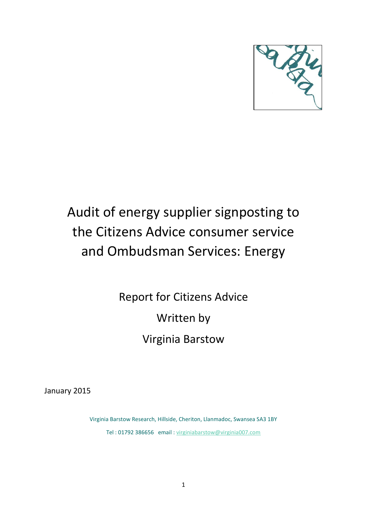

# Audit of energy supplier signposting to the Citizens Advice consumer service and Ombudsman Services: Energy

Report for Citizens Advice Written by Virginia Barstow

January 2015

Virginia Barstow Research, Hillside, Cheriton, Llanmadoc, Swansea SA3 1BY Tel : 01792 386656 email : [virginiabarstow@virginia007.com](mailto:virginiabarstow@virginia007.com)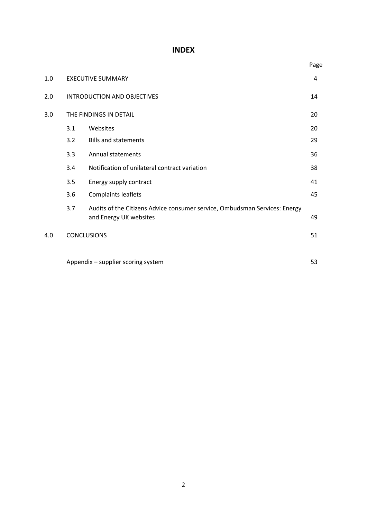# **INDEX**

|     |                                    |                                                                                                      | Page |  |  |
|-----|------------------------------------|------------------------------------------------------------------------------------------------------|------|--|--|
| 1.0 |                                    | <b>EXECUTIVE SUMMARY</b>                                                                             | 4    |  |  |
| 2.0 | <b>INTRODUCTION AND OBJECTIVES</b> |                                                                                                      |      |  |  |
| 3.0 |                                    | THE FINDINGS IN DETAIL                                                                               | 20   |  |  |
|     | 3.1                                | Websites                                                                                             | 20   |  |  |
|     | 3.2                                | <b>Bills and statements</b>                                                                          | 29   |  |  |
|     | 3.3                                | <b>Annual statements</b>                                                                             | 36   |  |  |
|     | 3.4                                | Notification of unilateral contract variation                                                        | 38   |  |  |
|     | 3.5                                | Energy supply contract                                                                               | 41   |  |  |
|     | 3.6                                | Complaints leaflets                                                                                  | 45   |  |  |
|     | 3.7                                | Audits of the Citizens Advice consumer service, Ombudsman Services: Energy<br>and Energy UK websites | 49   |  |  |
| 4.0 |                                    | <b>CONCLUSIONS</b>                                                                                   | 51   |  |  |
|     |                                    | Appendix - supplier scoring system                                                                   | 53   |  |  |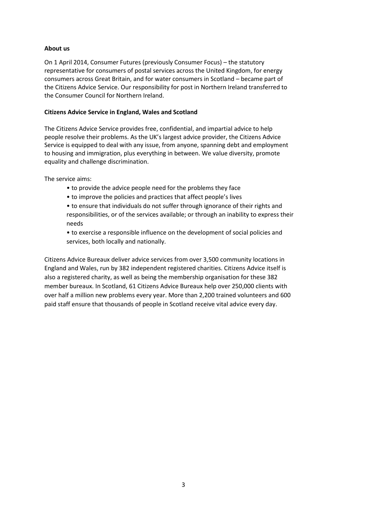# **About us**

On 1 April 2014, Consumer Futures (previously Consumer Focus) – the statutory representative for consumers of postal services across the United Kingdom, for energy consumers across Great Britain, and for water consumers in Scotland – became part of the Citizens Advice Service. Our responsibility for post in Northern Ireland transferred to the Consumer Council for Northern Ireland.

## **Citizens Advice Service in England, Wales and Scotland**

The Citizens Advice Service provides free, confidential, and impartial advice to help people resolve their problems. As the UK's largest advice provider, the Citizens Advice Service is equipped to deal with any issue, from anyone, spanning debt and employment to housing and immigration, plus everything in between. We value diversity, promote equality and challenge discrimination.

The service aims:

- to provide the advice people need for the problems they face
- to improve the policies and practices that affect people's lives

• to ensure that individuals do not suffer through ignorance of their rights and responsibilities, or of the services available; or through an inability to express their needs

• to exercise a responsible influence on the development of social policies and services, both locally and nationally.

Citizens Advice Bureaux deliver advice services from over 3,500 community locations in England and Wales, run by 382 independent registered charities. Citizens Advice itself is also a registered charity, as well as being the membership organisation for these 382 member bureaux. In Scotland, 61 Citizens Advice Bureaux help over 250,000 clients with over half a million new problems every year. More than 2,200 trained volunteers and 600 paid staff ensure that thousands of people in Scotland receive vital advice every day.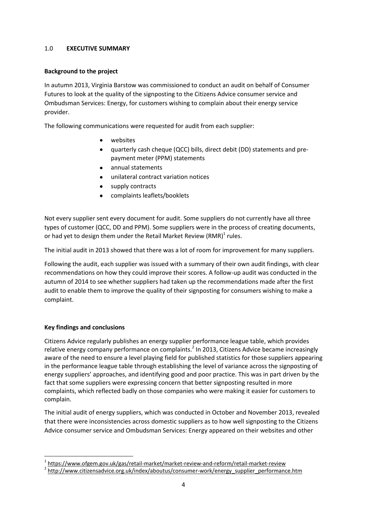# 1.0 **EXECUTIVE SUMMARY**

# **Background to the project**

In autumn 2013, Virginia Barstow was commissioned to conduct an audit on behalf of Consumer Futures to look at the quality of the signposting to the Citizens Advice consumer service and Ombudsman Services: Energy, for customers wishing to complain about their energy service provider.

The following communications were requested for audit from each supplier:

- websites
- quarterly cash cheque (QCC) bills, direct debit (DD) statements and pre- $\bullet$ payment meter (PPM) statements
- annual statements
- unilateral contract variation notices
- supply contracts
- complaints leaflets/booklets  $\bullet$

Not every supplier sent every document for audit. Some suppliers do not currently have all three types of customer (QCC, DD and PPM). Some suppliers were in the process of creating documents, or had yet to design them under the Retail Market Review (RMR) $<sup>1</sup>$  rules.</sup>

The initial audit in 2013 showed that there was a lot of room for improvement for many suppliers.

Following the audit, each supplier was issued with a summary of their own audit findings, with clear recommendations on how they could improve their scores. A follow-up audit was conducted in the autumn of 2014 to see whether suppliers had taken up the recommendations made after the first audit to enable them to improve the quality of their signposting for consumers wishing to make a complaint.

# **Key findings and conclusions**

**.** 

Citizens Advice regularly publishes an energy supplier performance league table, which provides relative energy company performance on complaints.<sup>2</sup> In 2013, Citizens Advice became increasingly aware of the need to ensure a level playing field for published statistics for those suppliers appearing in the performance league table through establishing the level of variance across the signposting of energy suppliers' approaches, and identifying good and poor practice. This was in part driven by the fact that some suppliers were expressing concern that better signposting resulted in more complaints, which reflected badly on those companies who were making it easier for customers to complain.

The initial audit of energy suppliers, which was conducted in October and November 2013, revealed that there were inconsistencies across domestic suppliers as to how well signposting to the Citizens Advice consumer service and Ombudsman Services: Energy appeared on their websites and other

<sup>&</sup>lt;sup>1</sup> <https://www.ofgem.gov.uk/gas/retail-market/market-review-and-reform/retail-market-review>

<sup>&</sup>lt;sup>2</sup> [http://www.citizensadvice.org.uk/index/aboutus/consumer-work/energy\\_supplier\\_performance.htm](http://www.citizensadvice.org.uk/index/aboutus/consumer-work/energy_supplier_performance.htm)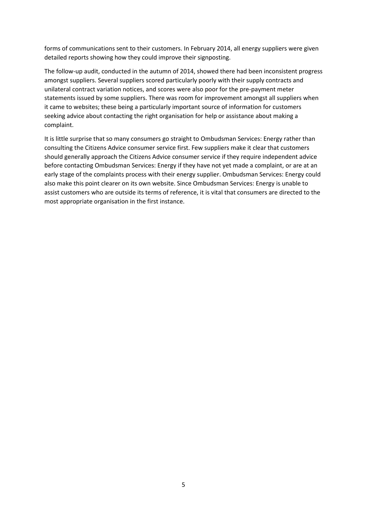forms of communications sent to their customers. In February 2014, all energy suppliers were given detailed reports showing how they could improve their signposting.

The follow-up audit, conducted in the autumn of 2014, showed there had been inconsistent progress amongst suppliers. Several suppliers scored particularly poorly with their supply contracts and unilateral contract variation notices, and scores were also poor for the pre-payment meter statements issued by some suppliers. There was room for improvement amongst all suppliers when it came to websites; these being a particularly important source of information for customers seeking advice about contacting the right organisation for help or assistance about making a complaint.

It is little surprise that so many consumers go straight to Ombudsman Services: Energy rather than consulting the Citizens Advice consumer service first. Few suppliers make it clear that customers should generally approach the Citizens Advice consumer service if they require independent advice before contacting Ombudsman Services: Energy if they have not yet made a complaint, or are at an early stage of the complaints process with their energy supplier. Ombudsman Services: Energy could also make this point clearer on its own website. Since Ombudsman Services: Energy is unable to assist customers who are outside its terms of reference, it is vital that consumers are directed to the most appropriate organisation in the first instance.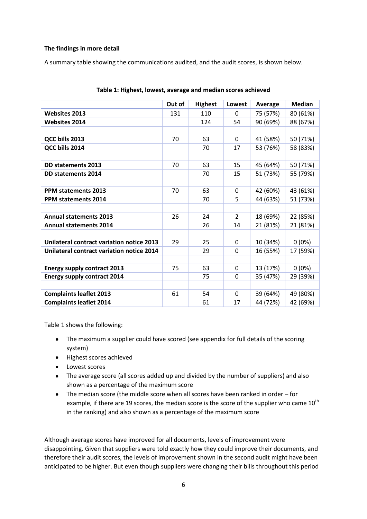# **The findings in more detail**

A summary table showing the communications audited, and the audit scores, is shown below.

|                                           | Out of | <b>Highest</b> | Lowest      | <b>Average</b> | <b>Median</b> |
|-------------------------------------------|--------|----------------|-------------|----------------|---------------|
| <b>Websites 2013</b>                      | 131    | 110            | $\Omega$    | 75 (57%)       | 80 (61%)      |
| <b>Websites 2014</b>                      |        | 124            | 54          | 90 (69%)       | 88 (67%)      |
|                                           |        |                |             |                |               |
| QCC bills 2013                            | 70     | 63             | $\Omega$    | 41 (58%)       | 50 (71%)      |
| QCC bills 2014                            |        | 70             | 17          | 53 (76%)       | 58 (83%)      |
|                                           |        |                |             |                |               |
| <b>DD statements 2013</b>                 | 70     | 63             | 15          | 45 (64%)       | 50 (71%)      |
| <b>DD statements 2014</b>                 |        | 70             | 15          | 51 (73%)       | 55 (79%)      |
|                                           |        |                |             |                |               |
| <b>PPM statements 2013</b>                | 70     | 63             | 0           | 42 (60%)       | 43 (61%)      |
| <b>PPM statements 2014</b>                |        | 70             | 5           | 44 (63%)       | 51 (73%)      |
|                                           |        |                |             |                |               |
| <b>Annual statements 2013</b>             | 26     | 24             | 2           | 18 (69%)       | 22 (85%)      |
| <b>Annual statements 2014</b>             |        | 26             | 14          | 21 (81%)       | 21 (81%)      |
|                                           |        |                |             |                |               |
| Unilateral contract variation notice 2013 | 29     | 25             | $\Omega$    | 10 (34%)       | $0(0\%)$      |
| Unilateral contract variation notice 2014 |        | 29             | 0           | 16 (55%)       | 17 (59%)      |
|                                           |        |                |             |                |               |
| <b>Energy supply contract 2013</b>        | 75     | 63             | $\mathbf 0$ | 13 (17%)       | $0(0\%)$      |
| <b>Energy supply contract 2014</b>        |        | 75             | $\Omega$    | 35 (47%)       | 29 (39%)      |
|                                           |        |                |             |                |               |
| <b>Complaints leaflet 2013</b>            | 61     | 54             | 0           | 39 (64%)       | 49 (80%)      |
| <b>Complaints leaflet 2014</b>            |        | 61             | 17          | 44 (72%)       | 42 (69%)      |

| Table 1: Highest, lowest, average and median scores achieved |
|--------------------------------------------------------------|
|--------------------------------------------------------------|

Table 1 shows the following:

- The maximum a supplier could have scored (see appendix for full details of the scoring system)
- Highest scores achieved
- Lowest scores
- The average score (all scores added up and divided by the number of suppliers) and also shown as a percentage of the maximum score
- The median score (the middle score when all scores have been ranked in order for  $\bullet$ example, if there are 19 scores, the median score is the score of the supplier who came  $10^{th}$ in the ranking) and also shown as a percentage of the maximum score

Although average scores have improved for all documents, levels of improvement were disappointing. Given that suppliers were told exactly how they could improve their documents, and therefore their audit scores, the levels of improvement shown in the second audit might have been anticipated to be higher. But even though suppliers were changing their bills throughout this period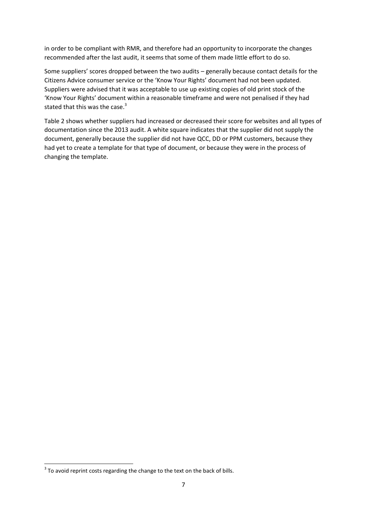in order to be compliant with RMR, and therefore had an opportunity to incorporate the changes recommended after the last audit, it seems that some of them made little effort to do so.

Some suppliers' scores dropped between the two audits – generally because contact details for the Citizens Advice consumer service or the 'Know Your Rights' document had not been updated. Suppliers were advised that it was acceptable to use up existing copies of old print stock of the 'Know Your Rights' document within a reasonable timeframe and were not penalised if they had stated that this was the case. $3$ 

Table 2 shows whether suppliers had increased or decreased their score for websites and all types of documentation since the 2013 audit. A white square indicates that the supplier did not supply the document, generally because the supplier did not have QCC, DD or PPM customers, because they had yet to create a template for that type of document, or because they were in the process of changing the template.

**.** 

 $3$  To avoid reprint costs regarding the change to the text on the back of bills.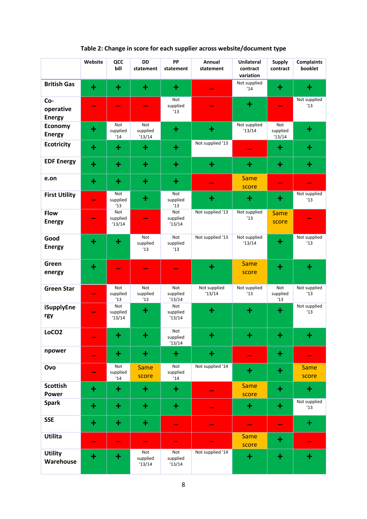|                                   | Website                  | QCC<br>bill              | <b>DD</b><br>statement   | PP<br>statement          | Annual<br>statement   | <b>Unilateral</b><br>contract<br>variation | <b>Supply</b><br>contract | <b>Complaints</b><br>booklet |
|-----------------------------------|--------------------------|--------------------------|--------------------------|--------------------------|-----------------------|--------------------------------------------|---------------------------|------------------------------|
| <b>British Gas</b>                | $\ddot{}$                | $\ddot{}$                | $\pm$                    | $\ddot{}$                |                       | Not supplied<br>14                         | $\ddot{}$                 | $\ddot{}$                    |
| Co-<br>operative<br><b>Energy</b> |                          |                          | $\overline{\phantom{a}}$ | Not<br>supplied<br>13    |                       | $\ddot{}$                                  |                           | Not supplied<br>13           |
| <b>Economy</b><br><b>Energy</b>   | $\ddot{}$                | Not<br>supplied<br>14'   | Not<br>supplied<br>13/14 | $\ddot{}$                | $\ddot{}$             | Not supplied<br>13/14                      | Not<br>supplied<br>13/14  | $\ddot{}$                    |
| <b>Ecotricity</b>                 | $\ddot{}$                | $\ddot{}$                | ÷                        | $\ddot{}$                | Not supplied '13      | -                                          | $\ddot{}$                 | $\ddot{}$                    |
| <b>EDF Energy</b>                 | $\ddot{}$                | $\ddot{}$                | $\ddot{}$                | $\ddot{}$                | $\ddot{}$             | $\ddot{}$                                  | ٠                         | $\ddot{}$                    |
| e.on                              | $\ddot{}$                | $\ddot{}$                | $\ddot{}$                | $\ddot{}$                |                       | <b>Same</b><br>score                       | $\hspace{0.05cm}$         |                              |
| <b>First Utility</b>              | ۰                        | Not<br>supplied<br>13    | $\ddot{}$                | Not<br>supplied<br>13    | $\bm{+}$              | $\ddot{}$                                  | $\ddot{}$                 | Not supplied<br>13           |
| <b>Flow</b><br><b>Energy</b>      | -                        | Not<br>supplied<br>13/14 |                          | Not<br>supplied<br>13/14 | Not supplied '13      | Not supplied<br>13                         | <b>Same</b><br>score      |                              |
| Good<br><b>Energy</b>             | $\ddot{}$                | $\ddot{}$                | Not<br>supplied<br>13    | Not<br>supplied<br>13    | Not supplied '13      | Not supplied<br>13/14                      | $\ddot{}$                 | Not supplied<br>13           |
| Green<br>energy                   | $\ddot{}$                |                          |                          |                          | $\ddot{}$             | <b>Same</b><br>score                       | $\ddot{}$                 | $\ddot{}$                    |
| <b>Green Star</b>                 | $\overline{\phantom{0}}$ | Not<br>supplied<br>13    | Not<br>supplied<br>13    | Not<br>supplied<br>13/14 | Not supplied<br>13/14 | Not supplied<br>13                         | Not<br>supplied<br>13     | Not supplied<br>13           |
| <b>iSupplyEne</b><br>rgy          |                          | Not<br>supplied<br>13/14 | $\ddot{}$                | Not<br>supplied<br>13/14 | $\ddot{}$             | $\ddot{}$                                  | $\ddot{}$                 | Not supplied<br>13           |
| LoCO <sub>2</sub>                 |                          | $+$                      | п.<br>т                  | Not<br>supplied<br>13/14 | <b>A</b><br>Ť         | ٠<br>т                                     | ┱                         | ÷                            |
| npower                            |                          | $\ddot{}$                | $\pm$                    | $\ddot{}$                | $\ddot{}$             |                                            | $\ddot{}$                 |                              |
| Ovo                               | ۰                        | Not<br>supplied<br>14    | <b>Same</b><br>score     | Not<br>supplied<br>14    | Not supplied '14      | $\ddot{}$                                  | $\ddot{}$                 | <b>Same</b><br>score         |
| <b>Scottish</b><br><b>Power</b>   | $\ddot{}$                | $\ddot{}$                | ÷                        | $\ddot{}$                |                       | <b>Same</b><br>score                       | $\ddot{}$                 | $\ddot{}$                    |
| <b>Spark</b>                      | $\ddot{}$                | $\ddot{}$                | $\pm$                    | $\ddot{}$                |                       | $\bf{+}$                                   | $\ddot{}$                 | Not supplied<br>13           |
| <b>SSE</b>                        | $\ddot{}$                | $\ddot{}$                | ÷                        | e.                       |                       | -                                          | $\overline{\phantom{0}}$  | $\pm$                        |
| Utilita                           | ٠                        | -                        | $\overline{\phantom{a}}$ | -                        |                       | <b>Same</b><br>score                       | $\ddot{}$                 |                              |
| <b>Utility</b><br>Warehouse       | $\ddot{}$                | $\ddot{}$                | Not<br>supplied<br>13/14 | Not<br>supplied<br>13/14 | Not supplied '14      | $\ddot{}$                                  | $\ddot{}$                 | $\ddot{}$                    |

# **Table 2: Change in score for each supplier across website/document type**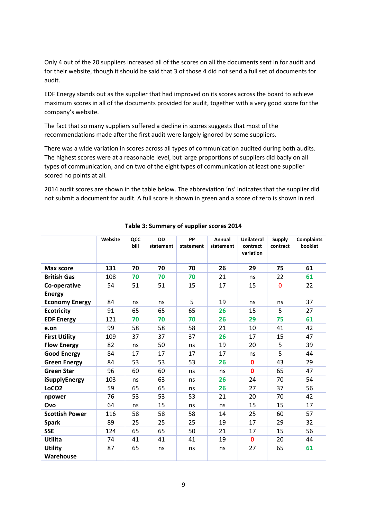Only 4 out of the 20 suppliers increased all of the scores on all the documents sent in for audit and for their website, though it should be said that 3 of those 4 did not send a full set of documents for audit.

EDF Energy stands out as the supplier that had improved on its scores across the board to achieve maximum scores in all of the documents provided for audit, together with a very good score for the company's website.

The fact that so many suppliers suffered a decline in scores suggests that most of the recommendations made after the first audit were largely ignored by some suppliers.

There was a wide variation in scores across all types of communication audited during both audits. The highest scores were at a reasonable level, but large proportions of suppliers did badly on all types of communication, and on two of the eight types of communication at least one supplier scored no points at all.

2014 audit scores are shown in the table below. The abbreviation 'ns' indicates that the supplier did not submit a document for audit. A full score is shown in green and a score of zero is shown in red.

|                               | Website | QCC<br>bill | <b>DD</b><br>statement | PP<br>statement | Annual<br>statement | <b>Unilateral</b><br>contract<br>variation | <b>Supply</b><br>contract | <b>Complaints</b><br>booklet |
|-------------------------------|---------|-------------|------------------------|-----------------|---------------------|--------------------------------------------|---------------------------|------------------------------|
| <b>Max score</b>              | 131     | 70          | 70                     | 70              | 26                  | 29                                         | 75                        | 61                           |
| <b>British Gas</b>            | 108     | 70          | 70                     | 70              | 21                  | ns                                         | 22                        | 61                           |
| Co-operative<br><b>Energy</b> | 54      | 51          | 51                     | 15              | 17                  | 15                                         | $\Omega$                  | 22                           |
| <b>Economy Energy</b>         | 84      | ns          | ns                     | 5               | 19                  | ns                                         | ns                        | 37                           |
| <b>Ecotricity</b>             | 91      | 65          | 65                     | 65              | 26                  | 15                                         | 5                         | 27                           |
| <b>EDF Energy</b>             | 121     | 70          | 70                     | 70              | 26                  | 29                                         | 75                        | 61                           |
| e.on                          | 99      | 58          | 58                     | 58              | 21                  | 10                                         | 41                        | 42                           |
| <b>First Utility</b>          | 109     | 37          | 37                     | 37              | 26                  | 17                                         | 15                        | 47                           |
| <b>Flow Energy</b>            | 82      | ns          | 50                     | ns              | 19                  | 20                                         | 5                         | 39                           |
| <b>Good Energy</b>            | 84      | 17          | 17                     | 17              | 17                  | ns                                         | 5                         | 44                           |
| <b>Green Energy</b>           | 84      | 53          | 53                     | 53              | 26                  | $\mathbf{0}$                               | 43                        | 29                           |
| <b>Green Star</b>             | 96      | 60          | 60                     | ns              | ns                  | $\mathbf{0}$                               | 65                        | 47                           |
| iSupplyEnergy                 | 103     | ns          | 63                     | ns              | 26                  | 24                                         | 70                        | 54                           |
| LoCO <sub>2</sub>             | 59      | 65          | 65                     | ns              | 26                  | 27                                         | 37                        | 56                           |
| npower                        | 76      | 53          | 53                     | 53              | 21                  | 20                                         | 70                        | 42                           |
| Ovo                           | 64      | ns          | 15                     | ns              | ns                  | 15                                         | 15                        | 17                           |
| <b>Scottish Power</b>         | 116     | 58          | 58                     | 58              | 14                  | 25                                         | 60                        | 57                           |
| <b>Spark</b>                  | 89      | 25          | 25                     | 25              | 19                  | 17                                         | 29                        | 32                           |
| <b>SSE</b>                    | 124     | 65          | 65                     | 50              | 21                  | 17                                         | 15                        | 56                           |
| Utilita                       | 74      | 41          | 41                     | 41              | 19                  | $\bf{0}$                                   | 20                        | 44                           |
| <b>Utility</b>                | 87      | 65          | ns                     | ns              | ns                  | 27                                         | 65                        | 61                           |
| Warehouse                     |         |             |                        |                 |                     |                                            |                           |                              |

# **Table 3: Summary of supplier scores 2014**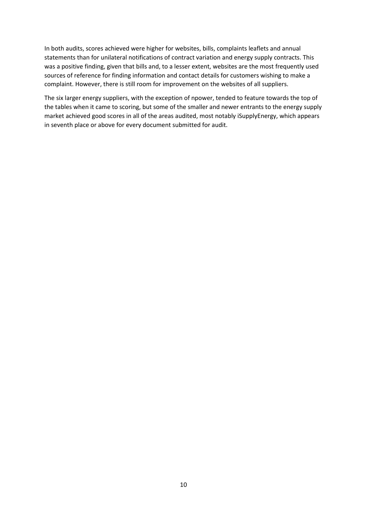In both audits, scores achieved were higher for websites, bills, complaints leaflets and annual statements than for unilateral notifications of contract variation and energy supply contracts. This was a positive finding, given that bills and, to a lesser extent, websites are the most frequently used sources of reference for finding information and contact details for customers wishing to make a complaint. However, there is still room for improvement on the websites of all suppliers.

The six larger energy suppliers, with the exception of npower, tended to feature towards the top of the tables when it came to scoring, but some of the smaller and newer entrants to the energy supply market achieved good scores in all of the areas audited, most notably iSupplyEnergy, which appears in seventh place or above for every document submitted for audit.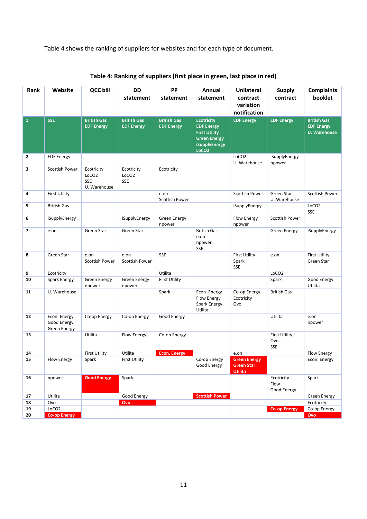Table 4 shows the ranking of suppliers for websites and for each type of document.

| Rank                     | Website                                     | <b>QCC bill</b>                                               | <b>DD</b><br>statement                  | PP<br>statement                         | Annual<br>statement                                                                                                         | <b>Unilateral</b><br>contract<br>variation<br>notification | <b>Supply</b><br>contract                 | <b>Complaints</b><br>booklet                                   |
|--------------------------|---------------------------------------------|---------------------------------------------------------------|-----------------------------------------|-----------------------------------------|-----------------------------------------------------------------------------------------------------------------------------|------------------------------------------------------------|-------------------------------------------|----------------------------------------------------------------|
| $\mathbf{1}$             | <b>SSE</b>                                  | <b>British Gas</b><br><b>EDF Energy</b>                       | <b>British Gas</b><br><b>EDF Energy</b> | <b>British Gas</b><br><b>EDF Energy</b> | <b>Ecotricity</b><br><b>EDF Energy</b><br><b>First Utility</b><br><b>Green Energy</b><br>iSupplyEnergy<br>LoCO <sub>2</sub> | <b>EDF Energy</b>                                          | <b>EDF Energy</b>                         | <b>British Gas</b><br><b>EDF Energy</b><br><b>U. Warehouse</b> |
| $\overline{2}$           | <b>EDF Energy</b>                           |                                                               |                                         |                                         |                                                                                                                             | LoCO <sub>2</sub><br>U. Warehouse                          | iSupplyEnergy<br>npower                   |                                                                |
| 3                        | <b>Scottish Power</b>                       | Ecotricity<br>LoCO <sub>2</sub><br><b>SSE</b><br>U. Warehouse | Ecotricity<br>LoCO <sub>2</sub><br>SSE  | Ecotricity                              |                                                                                                                             |                                                            |                                           |                                                                |
| 4                        | <b>First Utility</b>                        |                                                               |                                         | e.on                                    |                                                                                                                             | <b>Scottish Power</b>                                      | Green Star<br>U. Warehouse                | Scottish Power                                                 |
| 5                        | <b>British Gas</b>                          |                                                               |                                         | Scottish Power                          |                                                                                                                             | iSupplyEnergy                                              |                                           | LoCO <sub>2</sub><br>SSE                                       |
| 6                        | iSupplyEnergy                               |                                                               | iSupplyEnergy                           | <b>Green Energy</b><br>npower           |                                                                                                                             | Flow Energy<br>npower                                      | <b>Scottish Power</b>                     |                                                                |
| $\overline{\phantom{a}}$ | e.on                                        | Green Star                                                    | Green Star                              |                                         | <b>British Gas</b><br>e.on<br>npower<br>SSE                                                                                 |                                                            | <b>Green Energy</b>                       | iSupplyEnergy                                                  |
| 8                        | Green Star                                  | e.on<br><b>Scottish Power</b>                                 | e.on<br>Scottish Power                  | SSE                                     |                                                                                                                             | <b>First Utility</b><br>Spark<br><b>SSE</b>                | e.on                                      | <b>First Utility</b><br>Green Star                             |
| 9                        | Ecotricity                                  |                                                               |                                         | Utilita                                 |                                                                                                                             |                                                            | LoCO <sub>2</sub>                         |                                                                |
| 10                       | <b>Spark Energy</b>                         | <b>Green Energy</b><br>npower                                 | <b>Green Energy</b><br>npower           | <b>First Utility</b>                    |                                                                                                                             |                                                            | Spark                                     | Good Energy<br>Utilita                                         |
| 11                       | U. Warehouse                                |                                                               |                                         | Spark                                   | Econ. Energy<br>Flow Energy<br><b>Spark Energy</b><br>Utilita                                                               | Co-op Energy<br>Ecotricity<br>Ovo                          | <b>British Gas</b>                        |                                                                |
| 12                       | Econ. Energy<br>Good Energy<br>Green Energy | Co-op Energy                                                  | Co-op Energy                            | Good Energy                             |                                                                                                                             |                                                            | Utilita                                   | e.on<br>npower                                                 |
| 13                       |                                             | Utilita                                                       | Flow Energy                             | Co-op Energy                            |                                                                                                                             |                                                            | <b>First Utility</b><br>Ovo<br><b>SSE</b> |                                                                |
| 14                       |                                             | <b>First Utility</b>                                          | Utilita                                 | <b>Econ. Energy</b>                     |                                                                                                                             | e.on                                                       |                                           | Flow Energy                                                    |
| ${\bf 15}$               | Flow Energy                                 | Spark                                                         | First Utility                           |                                         | Co-op Energy<br>Good Energy                                                                                                 | <b>Green Energy</b><br><b>Green Star</b><br><b>Utilita</b> |                                           | Econ. Energy                                                   |
| 16                       | npower                                      | <b>Good Energy</b>                                            | Spark                                   |                                         |                                                                                                                             |                                                            | Ecotricity<br>Flow<br>Good Energy         | Spark                                                          |
| 17                       | Utilita                                     |                                                               | Good Energy                             |                                         | <b>Scottish Power</b>                                                                                                       |                                                            |                                           | <b>Green Energy</b>                                            |
| 18                       | Ovo                                         |                                                               | Ovo                                     |                                         |                                                                                                                             |                                                            |                                           | Ecotricity                                                     |
| 19                       | LoCO <sub>2</sub>                           |                                                               |                                         |                                         |                                                                                                                             |                                                            | <b>Co-op Energy</b>                       | Co-op Energy                                                   |
| 20                       | <b>Co-op Energy</b>                         |                                                               |                                         |                                         |                                                                                                                             |                                                            |                                           | Ovo                                                            |

| Table 4: Ranking of suppliers (first place in green, last place in red) |  |  |
|-------------------------------------------------------------------------|--|--|
|                                                                         |  |  |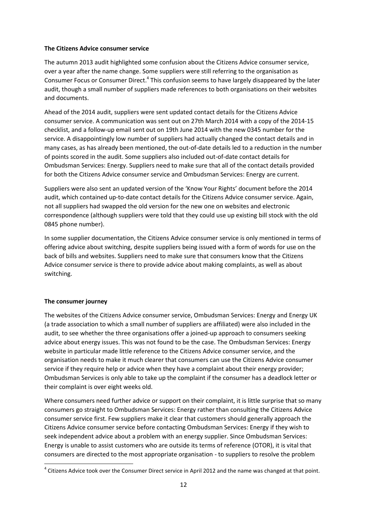#### **The Citizens Advice consumer service**

The autumn 2013 audit highlighted some confusion about the Citizens Advice consumer service, over a year after the name change. Some suppliers were still referring to the organisation as Consumer Focus or Consumer Direct.<sup>4</sup> This confusion seems to have largely disappeared by the later audit, though a small number of suppliers made references to both organisations on their websites and documents.

Ahead of the 2014 audit, suppliers were sent updated contact details for the Citizens Advice consumer service. A communication was sent out on 27th March 2014 with a copy of the 2014-15 checklist, and a follow-up email sent out on 19th June 2014 with the new 0345 number for the service. A disappointingly low number of suppliers had actually changed the contact details and in many cases, as has already been mentioned, the out-of-date details led to a reduction in the number of points scored in the audit. Some suppliers also included out-of-date contact details for Ombudsman Services: Energy. Suppliers need to make sure that all of the contact details provided for both the Citizens Advice consumer service and Ombudsman Services: Energy are current.

Suppliers were also sent an updated version of the 'Know Your Rights' document before the 2014 audit, which contained up-to-date contact details for the Citizens Advice consumer service. Again, not all suppliers had swapped the old version for the new one on websites and electronic correspondence (although suppliers were told that they could use up existing bill stock with the old 0845 phone number).

In some supplier documentation, the Citizens Advice consumer service is only mentioned in terms of offering advice about switching, despite suppliers being issued with a form of words for use on the back of bills and websites. Suppliers need to make sure that consumers know that the Citizens Advice consumer service is there to provide advice about making complaints, as well as about switching.

# **The consumer journey**

**.** 

The websites of the Citizens Advice consumer service, Ombudsman Services: Energy and Energy UK (a trade association to which a small number of suppliers are affiliated) were also included in the audit, to see whether the three organisations offer a joined-up approach to consumers seeking advice about energy issues. This was not found to be the case. The Ombudsman Services: Energy website in particular made little reference to the Citizens Advice consumer service, and the organisation needs to make it much clearer that consumers can use the Citizens Advice consumer service if they require help or advice when they have a complaint about their energy provider; Ombudsman Services is only able to take up the complaint if the consumer has a deadlock letter or their complaint is over eight weeks old.

Where consumers need further advice or support on their complaint, it is little surprise that so many consumers go straight to Ombudsman Services: Energy rather than consulting the Citizens Advice consumer service first. Few suppliers make it clear that customers should generally approach the Citizens Advice consumer service before contacting Ombudsman Services: Energy if they wish to seek independent advice about a problem with an energy supplier. Since Ombudsman Services: Energy is unable to assist customers who are outside its terms of reference (OTOR), it is vital that consumers are directed to the most appropriate organisation - to suppliers to resolve the problem

 $^4$  Citizens Advice took over the Consumer Direct service in April 2012 and the name was changed at that point.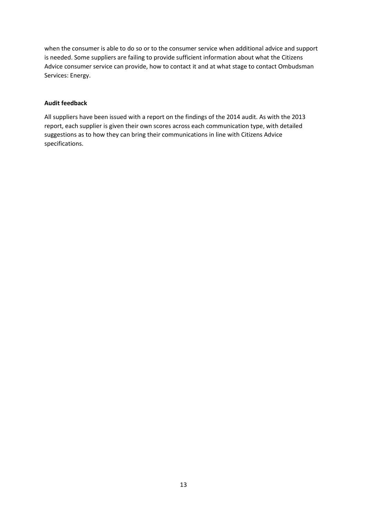when the consumer is able to do so or to the consumer service when additional advice and support is needed. Some suppliers are failing to provide sufficient information about what the Citizens Advice consumer service can provide, how to contact it and at what stage to contact Ombudsman Services: Energy.

## **Audit feedback**

All suppliers have been issued with a report on the findings of the 2014 audit. As with the 2013 report, each supplier is given their own scores across each communication type, with detailed suggestions as to how they can bring their communications in line with Citizens Advice specifications.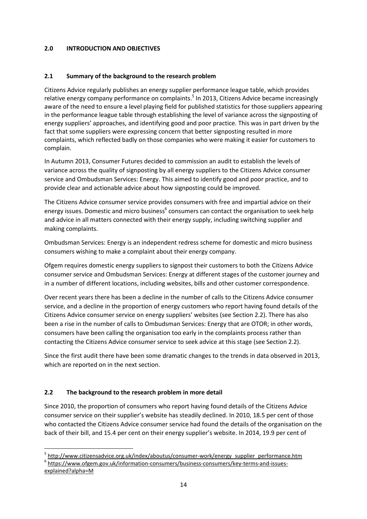# **2.0 INTRODUCTION AND OBJECTIVES**

# **2.1 Summary of the background to the research problem**

Citizens Advice regularly publishes an energy supplier performance league table, which provides relative energy company performance on complaints.<sup>5</sup> In 2013, Citizens Advice became increasingly aware of the need to ensure a level playing field for published statistics for those suppliers appearing in the performance league table through establishing the level of variance across the signposting of energy suppliers' approaches, and identifying good and poor practice. This was in part driven by the fact that some suppliers were expressing concern that better signposting resulted in more complaints, which reflected badly on those companies who were making it easier for customers to complain.

In Autumn 2013, Consumer Futures decided to commission an audit to establish the levels of variance across the quality of signposting by all energy suppliers to the Citizens Advice consumer service and Ombudsman Services: Energy. This aimed to identify good and poor practice, and to provide clear and actionable advice about how signposting could be improved.

The Citizens Advice consumer service provides consumers with free and impartial advice on their energy issues. Domestic and micro business<sup>6</sup> consumers can contact the organisation to seek help and advice in all matters connected with their energy supply, including switching supplier and making complaints.

Ombudsman Services: Energy is an independent redress scheme for domestic and micro business consumers wishing to make a complaint about their energy company.

Ofgem requires domestic energy suppliers to signpost their customers to both the Citizens Advice consumer service and Ombudsman Services: Energy at different stages of the customer journey and in a number of different locations, including websites, bills and other customer correspondence.

Over recent years there has been a decline in the number of calls to the Citizens Advice consumer service, and a decline in the proportion of energy customers who report having found details of the Citizens Advice consumer service on energy suppliers' websites (see Section 2.2). There has also been a rise in the number of calls to Ombudsman Services: Energy that are OTOR; in other words, consumers have been calling the organisation too early in the complaints process rather than contacting the Citizens Advice consumer service to seek advice at this stage (see Section 2.2).

Since the first audit there have been some dramatic changes to the trends in data observed in 2013, which are reported on in the next section.

# **2.2 The background to the research problem in more detail**

**.** 

Since 2010, the proportion of consumers who report having found details of the Citizens Advice consumer service on their supplier's website has steadily declined. In 2010, 18.5 per cent of those who contacted the Citizens Advice consumer service had found the details of the organisation on the back of their bill, and 15.4 per cent on their energy supplier's website. In 2014, 19.9 per cent of

<sup>&</sup>lt;sup>5</sup> [http://www.citizensadvice.org.uk/index/aboutus/consumer-work/energy\\_supplier\\_performance.htm](http://www.citizensadvice.org.uk/index/aboutus/consumer-work/energy_supplier_performance.htm) <sup>6</sup> [https://www.ofgem.gov.uk/information-consumers/business-consumers/key-terms-and-issues](https://www.ofgem.gov.uk/information-consumers/business-consumers/key-terms-and-issues-explained?alpha=M)[explained?alpha=M](https://www.ofgem.gov.uk/information-consumers/business-consumers/key-terms-and-issues-explained?alpha=M)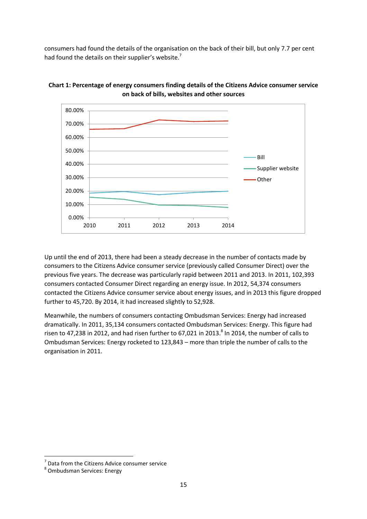consumers had found the details of the organisation on the back of their bill, but only 7.7 per cent had found the details on their supplier's website.<sup>7</sup>





Up until the end of 2013, there had been a steady decrease in the number of contacts made by consumers to the Citizens Advice consumer service (previously called Consumer Direct) over the previous five years. The decrease was particularly rapid between 2011 and 2013. In 2011, 102,393 consumers contacted Consumer Direct regarding an energy issue. In 2012, 54,374 consumers contacted the Citizens Advice consumer service about energy issues, and in 2013 this figure dropped further to 45,720. By 2014, it had increased slightly to 52,928.

Meanwhile, the numbers of consumers contacting Ombudsman Services: Energy had increased dramatically. In 2011, 35,134 consumers contacted Ombudsman Services: Energy. This figure had risen to 47,238 in 2012, and had risen further to 67,021 in 2013.<sup>8</sup> In 2014, the number of calls to Ombudsman Services: Energy rocketed to 123,843 – more than triple the number of calls to the organisation in 2011.

**.** 

<sup>7</sup> Data from the Citizens Advice consumer service

<sup>8</sup> Ombudsman Services: Energy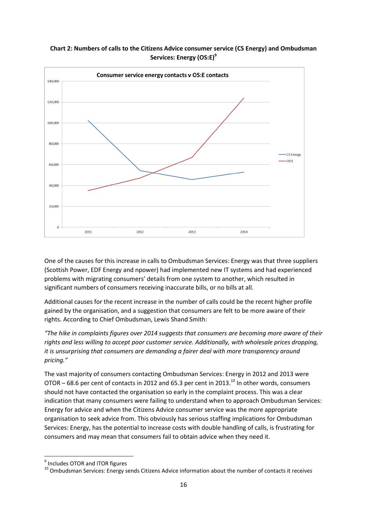

# **Chart 2: Numbers of calls to the Citizens Advice consumer service (CS Energy) and Ombudsman Services: Energy (OS:E)<sup>9</sup>**

One of the causes for this increase in calls to Ombudsman Services: Energy was that three suppliers (Scottish Power, EDF Energy and npower) had implemented new IT systems and had experienced problems with migrating consumers' details from one system to another, which resulted in significant numbers of consumers receiving inaccurate bills, or no bills at all.

Additional causes for the recent increase in the number of calls could be the recent higher profile gained by the organisation, and a suggestion that consumers are felt to be more aware of their rights. According to Chief Ombudsman, Lewis Shand Smith:

*"The hike in complaints figures over 2014 suggests that consumers are becoming more aware of their rights and less willing to accept poor customer service. Additionally, with wholesale prices dropping, it is unsurprising that consumers are demanding a fairer deal with more transparency around pricing."* 

The vast majority of consumers contacting Ombudsman Services: Energy in 2012 and 2013 were OTOR – 68.6 per cent of contacts in 2012 and 65.3 per cent in 2013.<sup>10</sup> In other words, consumers should not have contacted the organisation so early in the complaint process. This was a clear indication that many consumers were failing to understand when to approach Ombudsman Services: Energy for advice and when the Citizens Advice consumer service was the more appropriate organisation to seek advice from. This obviously has serious staffing implications for Ombudsman Services: Energy, has the potential to increase costs with double handling of calls, is frustrating for consumers and may mean that consumers fail to obtain advice when they need it.

 9 Includes OTOR and ITOR figures

<sup>&</sup>lt;sup>10</sup> Ombudsman Services: Energy sends Citizens Advice information about the number of contacts it receives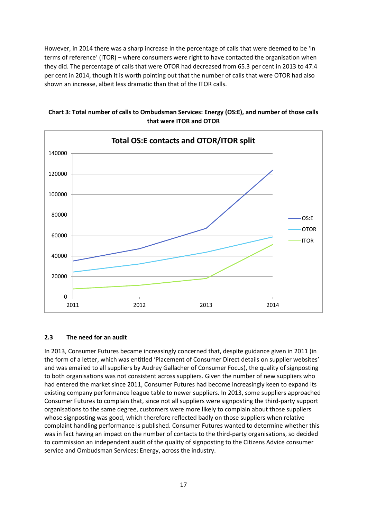However, in 2014 there was a sharp increase in the percentage of calls that were deemed to be 'in terms of reference' (ITOR) – where consumers were right to have contacted the organisation when they did. The percentage of calls that were OTOR had decreased from 65.3 per cent in 2013 to 47.4 per cent in 2014, though it is worth pointing out that the number of calls that were OTOR had also shown an increase, albeit less dramatic than that of the ITOR calls.





# **2.3 The need for an audit**

In 2013, Consumer Futures became increasingly concerned that, despite guidance given in 2011 (in the form of a letter, which was entitled 'Placement of Consumer Direct details on supplier websites' and was emailed to all suppliers by Audrey Gallacher of Consumer Focus), the quality of signposting to both organisations was not consistent across suppliers. Given the number of new suppliers who had entered the market since 2011, Consumer Futures had become increasingly keen to expand its existing company performance league table to newer suppliers. In 2013, some suppliers approached Consumer Futures to complain that, since not all suppliers were signposting the third-party support organisations to the same degree, customers were more likely to complain about those suppliers whose signposting was good, which therefore reflected badly on those suppliers when relative complaint handling performance is published. Consumer Futures wanted to determine whether this was in fact having an impact on the number of contacts to the third-party organisations, so decided to commission an independent audit of the quality of signposting to the Citizens Advice consumer service and Ombudsman Services: Energy, across the industry.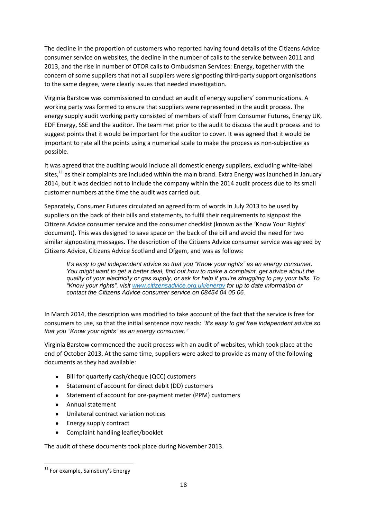The decline in the proportion of customers who reported having found details of the Citizens Advice consumer service on websites, the decline in the number of calls to the service between 2011 and 2013, and the rise in number of OTOR calls to Ombudsman Services: Energy, together with the concern of some suppliers that not all suppliers were signposting third-party support organisations to the same degree, were clearly issues that needed investigation.

Virginia Barstow was commissioned to conduct an audit of energy suppliers' communications. A working party was formed to ensure that suppliers were represented in the audit process. The energy supply audit working party consisted of members of staff from Consumer Futures, Energy UK, EDF Energy, SSE and the auditor. The team met prior to the audit to discuss the audit process and to suggest points that it would be important for the auditor to cover. It was agreed that it would be important to rate all the points using a numerical scale to make the process as non-subjective as possible.

It was agreed that the auditing would include all domestic energy suppliers, excluding white-label sites,<sup>11</sup> as their complaints are included within the main brand. Extra Energy was launched in January 2014, but it was decided not to include the company within the 2014 audit process due to its small customer numbers at the time the audit was carried out.

Separately, Consumer Futures circulated an agreed form of words in July 2013 to be used by suppliers on the back of their bills and statements, to fulfil their requirements to signpost the Citizens Advice consumer service and the consumer checklist (known as the 'Know Your Rights' document). This was designed to save space on the back of the bill and avoid the need for two similar signposting messages. The description of the Citizens Advice consumer service was agreed by Citizens Advice, Citizens Advice Scotland and Ofgem, and was as follows:

*It's easy to get independent advice so that you "Know your rights" as an energy consumer. You might want to get a better deal, find out how to make a complaint, get advice about the quality of your electricity or gas supply, or ask for help if you're struggling to pay your bills. To "Know your rights", visit [www.citizensadvice.org.uk/energy](http://www.citizensadvice.org.uk/energy) for up to date information or contact the Citizens Advice consumer service on 08454 04 05 06.* 

In March 2014, the description was modified to take account of the fact that the service is free for consumers to use, so that the initial sentence now reads: *"It's easy to get free independent advice so that you "Know your rights" as an energy consumer."*

Virginia Barstow commenced the audit process with an audit of websites, which took place at the end of October 2013. At the same time, suppliers were asked to provide as many of the following documents as they had available:

- Bill for quarterly cash/cheque (QCC) customers
- Statement of account for direct debit (DD) customers  $\bullet$
- Statement of account for pre-payment meter (PPM) customers  $\bullet$
- Annual statement
- Unilateral contract variation notices
- Energy supply contract  $\bullet$
- Complaint handling leaflet/booklet

The audit of these documents took place during November 2013.

**<sup>.</sup>**  $11$  For example, Sainsbury's Energy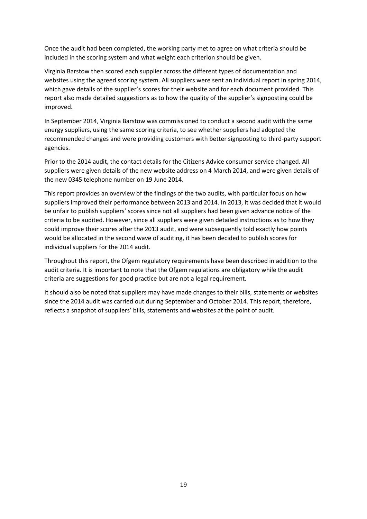Once the audit had been completed, the working party met to agree on what criteria should be included in the scoring system and what weight each criterion should be given.

Virginia Barstow then scored each supplier across the different types of documentation and websites using the agreed scoring system. All suppliers were sent an individual report in spring 2014, which gave details of the supplier's scores for their website and for each document provided. This report also made detailed suggestions as to how the quality of the supplier's signposting could be improved.

In September 2014, Virginia Barstow was commissioned to conduct a second audit with the same energy suppliers, using the same scoring criteria, to see whether suppliers had adopted the recommended changes and were providing customers with better signposting to third-party support agencies.

Prior to the 2014 audit, the contact details for the Citizens Advice consumer service changed. All suppliers were given details of the new website address on 4 March 2014, and were given details of the new 0345 telephone number on 19 June 2014.

This report provides an overview of the findings of the two audits, with particular focus on how suppliers improved their performance between 2013 and 2014. In 2013, it was decided that it would be unfair to publish suppliers' scores since not all suppliers had been given advance notice of the criteria to be audited. However, since all suppliers were given detailed instructions as to how they could improve their scores after the 2013 audit, and were subsequently told exactly how points would be allocated in the second wave of auditing, it has been decided to publish scores for individual suppliers for the 2014 audit.

Throughout this report, the Ofgem regulatory requirements have been described in addition to the audit criteria. It is important to note that the Ofgem regulations are obligatory while the audit criteria are suggestions for good practice but are not a legal requirement.

It should also be noted that suppliers may have made changes to their bills, statements or websites since the 2014 audit was carried out during September and October 2014. This report, therefore, reflects a snapshot of suppliers' bills, statements and websites at the point of audit.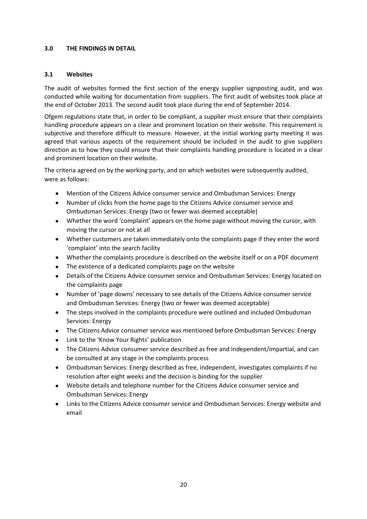## **3.0 THE FINDINGS IN DETAIL**

# **3.1 Websites**

The audit of websites formed the first section of the energy supplier signposting audit, and was conducted while waiting for documentation from suppliers. The first audit of websites took place at the end of October 2013. The second audit took place during the end of September 2014.

Ofgem regulations state that, in order to be compliant, a supplier must ensure that their complaints handling procedure appears on a clear and prominent location on their website. This requirement is subjective and therefore difficult to measure. However, at the initial working party meeting it was agreed that various aspects of the requirement should be included in the audit to give suppliers direction as to how they could ensure that their complaints handling procedure is located in a clear and prominent location on their website.

The criteria agreed on by the working party, and on which websites were subsequently audited, were as follows:

- Mention of the Citizens Advice consumer service and Ombudsman Services: Energy
- Number of clicks from the home page to the Citizens Advice consumer service and Ombudsman Services: Energy (two or fewer was deemed acceptable)
- Whether the word 'complaint' appears on the home page without moving the cursor, with  $\bullet$ moving the cursor or not at all
- Whether customers are taken immediately onto the complaints page if they enter the word  $\bullet$ 'complaint' into the search facility
- Whether the complaints procedure is described on the website itself or on a PDF document  $\bullet$
- $\bullet$ The existence of a dedicated complaints page on the website
- Details of the Citizens Advice consumer service and Ombudsman Services: Energy located on  $\bullet$ the complaints page
- Number of 'page downs' necessary to see details of the Citizens Advice consumer service  $\bullet$ and Ombudsman Services: Energy (two or fewer was deemed acceptable)
- The steps involved in the complaints procedure were outlined and included Ombudsman  $\bullet$ Services: Energy
- The Citizens Advice consumer service was mentioned before Ombudsman Services: Energy
- Link to the 'Know Your Rights' publication
- $\bullet$ The Citizens Advice consumer service described as free and independent/impartial, and can be consulted at any stage in the complaints process
- Ombudsman Services: Energy described as free, independent, investigates complaints if no  $\bullet$ resolution after eight weeks and the decision is binding for the supplier
- Website details and telephone number for the Citizens Advice consumer service and Ombudsman Services: Energy
- $\bullet$ Links to the Citizens Advice consumer service and Ombudsman Services: Energy website and email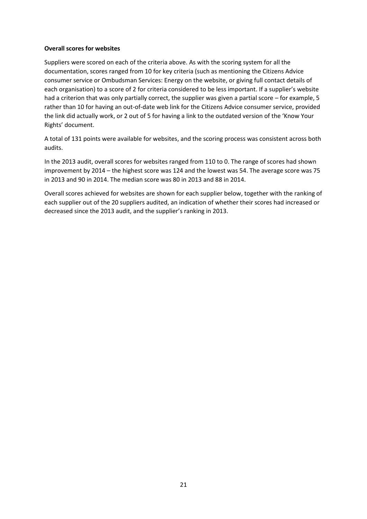## **Overall scores for websites**

Suppliers were scored on each of the criteria above. As with the scoring system for all the documentation, scores ranged from 10 for key criteria (such as mentioning the Citizens Advice consumer service or Ombudsman Services: Energy on the website, or giving full contact details of each organisation) to a score of 2 for criteria considered to be less important. If a supplier's website had a criterion that was only partially correct, the supplier was given a partial score – for example, 5 rather than 10 for having an out-of-date web link for the Citizens Advice consumer service, provided the link did actually work, or 2 out of 5 for having a link to the outdated version of the 'Know Your Rights' document.

A total of 131 points were available for websites, and the scoring process was consistent across both audits.

In the 2013 audit, overall scores for websites ranged from 110 to 0. The range of scores had shown improvement by 2014 – the highest score was 124 and the lowest was 54. The average score was 75 in 2013 and 90 in 2014. The median score was 80 in 2013 and 88 in 2014.

Overall scores achieved for websites are shown for each supplier below, together with the ranking of each supplier out of the 20 suppliers audited, an indication of whether their scores had increased or decreased since the 2013 audit, and the supplier's ranking in 2013.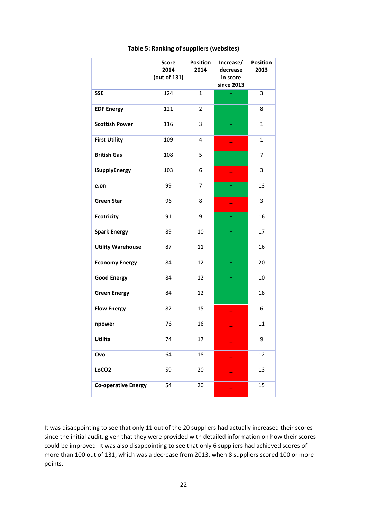|                            | <b>Score</b><br>2014<br>(out of 131) | <b>Position</b><br>2014 | Increase/<br>decrease<br>in score<br>since 2013 | <b>Position</b><br>2013 |
|----------------------------|--------------------------------------|-------------------------|-------------------------------------------------|-------------------------|
| <b>SSE</b>                 | 124                                  | $\mathbf{1}$            | ÷                                               | 3                       |
| <b>EDF Energy</b>          | 121                                  | 2                       | ÷                                               | 8                       |
| <b>Scottish Power</b>      | 116                                  | 3                       | ÷                                               | $\mathbf{1}$            |
| <b>First Utility</b>       | 109                                  | 4                       |                                                 | $\mathbf{1}$            |
| <b>British Gas</b>         | 108                                  | 5                       | ÷                                               | 7                       |
| iSupplyEnergy              | 103                                  | 6                       |                                                 | 3                       |
| e.on                       | 99                                   | 7                       | ÷                                               | 13                      |
| <b>Green Star</b>          | 96                                   | 8                       |                                                 | 3                       |
| <b>Ecotricity</b>          | 91                                   | 9                       | ÷                                               | 16                      |
| <b>Spark Energy</b>        | 89                                   | 10                      | ÷                                               | 17                      |
| <b>Utility Warehouse</b>   | 87                                   | 11                      | ÷                                               | 16                      |
| <b>Economy Energy</b>      | 84                                   | 12                      | ÷                                               | 20                      |
| <b>Good Energy</b>         | 84                                   | 12                      | ÷                                               | 10                      |
| <b>Green Energy</b>        | 84                                   | 12                      | $\ddot{}$                                       | 18                      |
| <b>Flow Energy</b>         | 82                                   | 15                      |                                                 | 6                       |
| npower                     | 76                                   | 16                      |                                                 | 11                      |
| Utilita                    | 74                                   | 17                      |                                                 | 9                       |
| Ovo                        | 64                                   | 18                      |                                                 | 12                      |
| LoCO <sub>2</sub>          | 59                                   | 20                      |                                                 | 13                      |
| <b>Co-operative Energy</b> | 54                                   | 20                      |                                                 | 15                      |

## **Table 5: Ranking of suppliers (websites)**

It was disappointing to see that only 11 out of the 20 suppliers had actually increased their scores since the initial audit, given that they were provided with detailed information on how their scores could be improved. It was also disappointing to see that only 6 suppliers had achieved scores of more than 100 out of 131, which was a decrease from 2013, when 8 suppliers scored 100 or more points.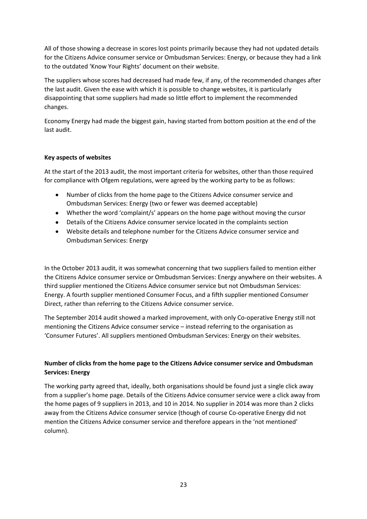All of those showing a decrease in scores lost points primarily because they had not updated details for the Citizens Advice consumer service or Ombudsman Services: Energy, or because they had a link to the outdated 'Know Your Rights' document on their website.

The suppliers whose scores had decreased had made few, if any, of the recommended changes after the last audit. Given the ease with which it is possible to change websites, it is particularly disappointing that some suppliers had made so little effort to implement the recommended changes.

Economy Energy had made the biggest gain, having started from bottom position at the end of the last audit.

# **Key aspects of websites**

At the start of the 2013 audit, the most important criteria for websites, other than those required for compliance with Ofgem regulations, were agreed by the working party to be as follows:

- Number of clicks from the home page to the Citizens Advice consumer service and  $\bullet$ Ombudsman Services: Energy (two or fewer was deemed acceptable)
- Whether the word 'complaint/s' appears on the home page without moving the cursor
- Details of the Citizens Advice consumer service located in the complaints section
- $\bullet$ Website details and telephone number for the Citizens Advice consumer service and Ombudsman Services: Energy

In the October 2013 audit, it was somewhat concerning that two suppliers failed to mention either the Citizens Advice consumer service or Ombudsman Services: Energy anywhere on their websites. A third supplier mentioned the Citizens Advice consumer service but not Ombudsman Services: Energy. A fourth supplier mentioned Consumer Focus, and a fifth supplier mentioned Consumer Direct, rather than referring to the Citizens Advice consumer service.

The September 2014 audit showed a marked improvement, with only Co-operative Energy still not mentioning the Citizens Advice consumer service – instead referring to the organisation as 'Consumer Futures'. All suppliers mentioned Ombudsman Services: Energy on their websites.

# **Number of clicks from the home page to the Citizens Advice consumer service and Ombudsman Services: Energy**

The working party agreed that, ideally, both organisations should be found just a single click away from a supplier's home page. Details of the Citizens Advice consumer service were a click away from the home pages of 9 suppliers in 2013, and 10 in 2014. No supplier in 2014 was more than 2 clicks away from the Citizens Advice consumer service (though of course Co-operative Energy did not mention the Citizens Advice consumer service and therefore appears in the 'not mentioned' column).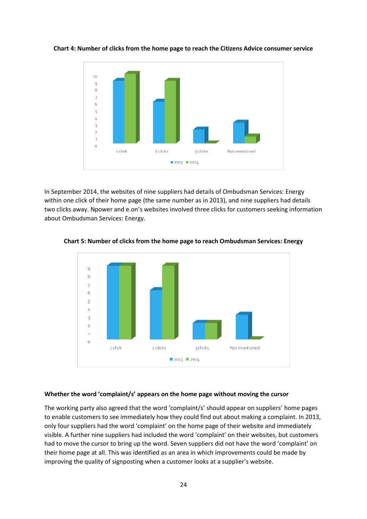

**Chart 4: Number of clicks from the home page to reach the Citizens Advice consumer service** 

In September 2014, the websites of nine suppliers had details of Ombudsman Services: Energy within one click of their home page (the same number as in 2013), and nine suppliers had details two clicks away. Npower and e.on's websites involved three clicks for customers seeking information about Ombudsman Services: Energy.



#### **Chart 5: Number of clicks from the home page to reach Ombudsman Services: Energy**

#### **Whether the word 'complaint/s' appears on the home page without moving the cursor**

The working party also agreed that the word 'complaint/s' should appear on suppliers' home pages to enable customers to see immediately how they could find out about making a complaint. In 2013, only four suppliers had the word 'complaint' on the home page of their website and immediately visible. A further nine suppliers had included the word 'complaint' on their websites, but customers had to move the cursor to bring up the word. Seven suppliers did not have the word 'complaint' on their home page at all. This was identified as an area in which improvements could be made by improving the quality of signposting when a customer looks at a supplier's website.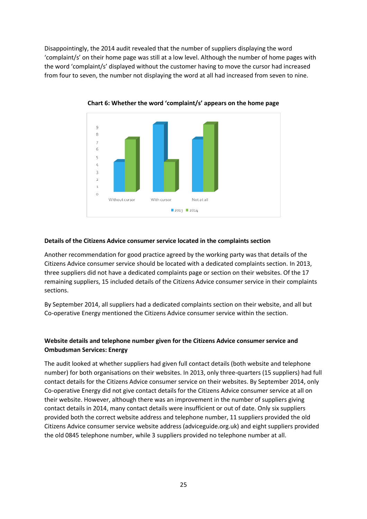Disappointingly, the 2014 audit revealed that the number of suppliers displaying the word 'complaint/s' on their home page was still at a low level. Although the number of home pages with the word 'complaint/s' displayed without the customer having to move the cursor had increased from four to seven, the number not displaying the word at all had increased from seven to nine.



**Chart 6: Whether the word 'complaint/s' appears on the home page** 

# **Details of the Citizens Advice consumer service located in the complaints section**

Another recommendation for good practice agreed by the working party was that details of the Citizens Advice consumer service should be located with a dedicated complaints section. In 2013, three suppliers did not have a dedicated complaints page or section on their websites. Of the 17 remaining suppliers, 15 included details of the Citizens Advice consumer service in their complaints sections.

By September 2014, all suppliers had a dedicated complaints section on their website, and all but Co-operative Energy mentioned the Citizens Advice consumer service within the section.

# **Website details and telephone number given for the Citizens Advice consumer service and Ombudsman Services: Energy**

The audit looked at whether suppliers had given full contact details (both website and telephone number) for both organisations on their websites. In 2013, only three-quarters (15 suppliers) had full contact details for the Citizens Advice consumer service on their websites. By September 2014, only Co-operative Energy did not give contact details for the Citizens Advice consumer service at all on their website. However, although there was an improvement in the number of suppliers giving contact details in 2014, many contact details were insufficient or out of date. Only six suppliers provided both the correct website address and telephone number, 11 suppliers provided the old Citizens Advice consumer service website address (adviceguide.org.uk) and eight suppliers provided the old 0845 telephone number, while 3 suppliers provided no telephone number at all.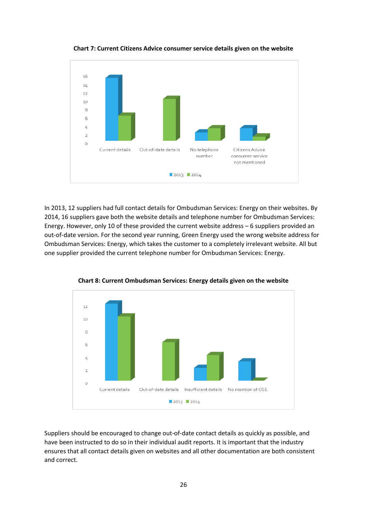

**Chart 7: Current Citizens Advice consumer service details given on the website** 

In 2013, 12 suppliers had full contact details for Ombudsman Services: Energy on their websites. By 2014, 16 suppliers gave both the website details and telephone number for Ombudsman Services: Energy. However, only 10 of these provided the current website address – 6 suppliers provided an out-of-date version. For the second year running, Green Energy used the wrong website address for Ombudsman Services: Energy, which takes the customer to a completely irrelevant website. All but one supplier provided the current telephone number for Ombudsman Services: Energy.



**Chart 8: Current Ombudsman Services: Energy details given on the website** 

Suppliers should be encouraged to change out-of-date contact details as quickly as possible, and have been instructed to do so in their individual audit reports. It is important that the industry ensures that all contact details given on websites and all other documentation are both consistent and correct.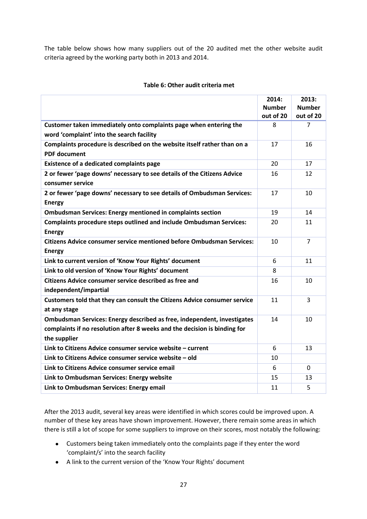The table below shows how many suppliers out of the 20 audited met the other website audit criteria agreed by the working party both in 2013 and 2014.

|                                                                              | 2014:         | 2013:          |
|------------------------------------------------------------------------------|---------------|----------------|
|                                                                              | <b>Number</b> | <b>Number</b>  |
|                                                                              | out of 20     | out of 20      |
| Customer taken immediately onto complaints page when entering the            | 8             | 7              |
| word 'complaint' into the search facility                                    |               |                |
| Complaints procedure is described on the website itself rather than on a     | 17            | 16             |
| <b>PDF</b> document                                                          |               |                |
| <b>Existence of a dedicated complaints page</b>                              | 20            | 17             |
| 2 or fewer 'page downs' necessary to see details of the Citizens Advice      | 16            | 12             |
| consumer service                                                             |               |                |
| 2 or fewer 'page downs' necessary to see details of Ombudsman Services:      | 17            | 10             |
| <b>Energy</b>                                                                |               |                |
| <b>Ombudsman Services: Energy mentioned in complaints section</b>            | 19            | 14             |
| <b>Complaints procedure steps outlined and include Ombudsman Services:</b>   | 20            | 11             |
| <b>Energy</b>                                                                |               |                |
| <b>Citizens Advice consumer service mentioned before Ombudsman Services:</b> | 10            | $\overline{7}$ |
| <b>Energy</b>                                                                |               |                |
| Link to current version of 'Know Your Rights' document                       | 6             | 11             |
| Link to old version of 'Know Your Rights' document                           | 8             |                |
| Citizens Advice consumer service described as free and                       | 16            | 10             |
| independent/impartial                                                        |               |                |
| Customers told that they can consult the Citizens Advice consumer service    | 11            | 3              |
| at any stage                                                                 |               |                |
| Ombudsman Services: Energy described as free, independent, investigates      | 14            | 10             |
| complaints if no resolution after 8 weeks and the decision is binding for    |               |                |
| the supplier                                                                 |               |                |
| Link to Citizens Advice consumer service website - current                   | 6             | 13             |
| Link to Citizens Advice consumer service website - old                       | 10            |                |
| Link to Citizens Advice consumer service email                               | 6             | 0              |
| Link to Ombudsman Services: Energy website                                   | 15            | 13             |
| Link to Ombudsman Services: Energy email                                     | 11            | 5              |

## **Table 6: Other audit criteria met**

After the 2013 audit, several key areas were identified in which scores could be improved upon. A number of these key areas have shown improvement. However, there remain some areas in which there is still a lot of scope for some suppliers to improve on their scores, most notably the following:

- Customers being taken immediately onto the complaints page if they enter the word 'complaint/s' into the search facility
- A link to the current version of the 'Know Your Rights' document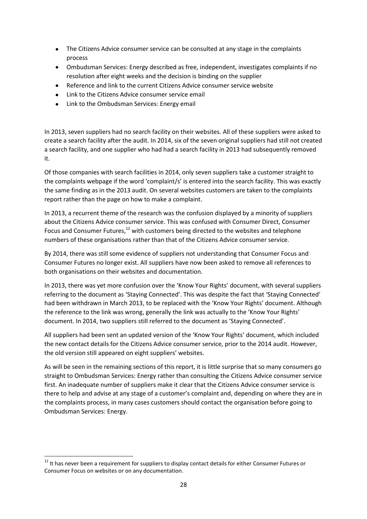- The Citizens Advice consumer service can be consulted at any stage in the complaints process
- Ombudsman Services: Energy described as free, independent, investigates complaints if no resolution after eight weeks and the decision is binding on the supplier
- $\bullet$ Reference and link to the current Citizens Advice consumer service website
- $\bullet$ Link to the Citizens Advice consumer service email
- Link to the Ombudsman Services: Energy email

In 2013, seven suppliers had no search facility on their websites. All of these suppliers were asked to create a search facility after the audit. In 2014, six of the seven original suppliers had still not created a search facility, and one supplier who had had a search facility in 2013 had subsequently removed it.

Of those companies with search facilities in 2014, only seven suppliers take a customer straight to the complaints webpage if the word 'complaint/s' is entered into the search facility. This was exactly the same finding as in the 2013 audit. On several websites customers are taken to the complaints report rather than the page on how to make a complaint.

In 2013, a recurrent theme of the research was the confusion displayed by a minority of suppliers about the Citizens Advice consumer service. This was confused with Consumer Direct, Consumer Focus and Consumer Futures,<sup>12</sup> with customers being directed to the websites and telephone numbers of these organisations rather than that of the Citizens Advice consumer service.

By 2014, there was still some evidence of suppliers not understanding that Consumer Focus and Consumer Futures no longer exist. All suppliers have now been asked to remove all references to both organisations on their websites and documentation.

In 2013, there was yet more confusion over the 'Know Your Rights' document, with several suppliers referring to the document as 'Staying Connected'. This was despite the fact that 'Staying Connected' had been withdrawn in March 2013, to be replaced with the 'Know Your Rights' document. Although the reference to the link was wrong, generally the link was actually to the 'Know Your Rights' document. In 2014, two suppliers still referred to the document as 'Staying Connected'.

All suppliers had been sent an updated version of the 'Know Your Rights' document, which included the new contact details for the Citizens Advice consumer service, prior to the 2014 audit. However, the old version still appeared on eight suppliers' websites.

As will be seen in the remaining sections of this report, it is little surprise that so many consumers go straight to Ombudsman Services: Energy rather than consulting the Citizens Advice consumer service first. An inadequate number of suppliers make it clear that the Citizens Advice consumer service is there to help and advise at any stage of a customer's complaint and, depending on where they are in the complaints process, in many cases customers should contact the organisation before going to Ombudsman Services: Energy.

**<sup>.</sup>**  $12$  It has never been a requirement for suppliers to display contact details for either Consumer Futures or Consumer Focus on websites or on any documentation.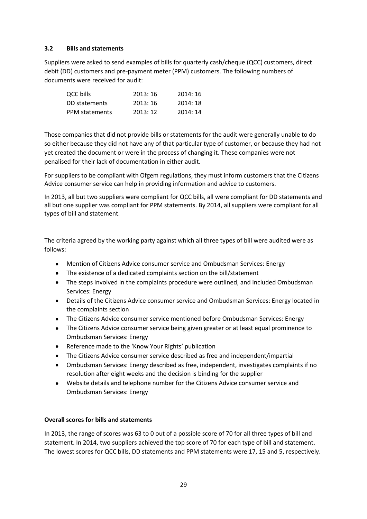# **3.2 Bills and statements**

Suppliers were asked to send examples of bills for quarterly cash/cheque (QCC) customers, direct debit (DD) customers and pre-payment meter (PPM) customers. The following numbers of documents were received for audit:

| QCC bills      | 2013:16 | 2014:16 |
|----------------|---------|---------|
| DD statements  | 2013:16 | 2014:18 |
| PPM statements | 2013:12 | 2014:14 |

Those companies that did not provide bills or statements for the audit were generally unable to do so either because they did not have any of that particular type of customer, or because they had not yet created the document or were in the process of changing it. These companies were not penalised for their lack of documentation in either audit.

For suppliers to be compliant with Ofgem regulations, they must inform customers that the Citizens Advice consumer service can help in providing information and advice to customers.

In 2013, all but two suppliers were compliant for QCC bills, all were compliant for DD statements and all but one supplier was compliant for PPM statements. By 2014, all suppliers were compliant for all types of bill and statement.

The criteria agreed by the working party against which all three types of bill were audited were as follows:

- Mention of Citizens Advice consumer service and Ombudsman Services: Energy
- The existence of a dedicated complaints section on the bill/statement
- The steps involved in the complaints procedure were outlined, and included Ombudsman Services: Energy
- Details of the Citizens Advice consumer service and Ombudsman Services: Energy located in the complaints section
- The Citizens Advice consumer service mentioned before Ombudsman Services: Energy
- The Citizens Advice consumer service being given greater or at least equal prominence to Ombudsman Services: Energy
- Reference made to the 'Know Your Rights' publication
- The Citizens Advice consumer service described as free and independent/impartial
- Ombudsman Services: Energy described as free, independent, investigates complaints if no resolution after eight weeks and the decision is binding for the supplier
- Website details and telephone number for the Citizens Advice consumer service and  $\bullet$ Ombudsman Services: Energy

# **Overall scores for bills and statements**

In 2013, the range of scores was 63 to 0 out of a possible score of 70 for all three types of bill and statement. In 2014, two suppliers achieved the top score of 70 for each type of bill and statement. The lowest scores for QCC bills, DD statements and PPM statements were 17, 15 and 5, respectively.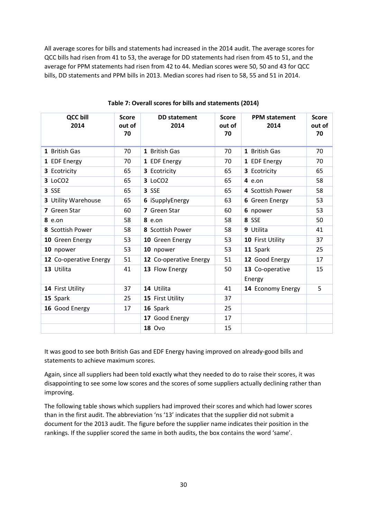All average scores for bills and statements had increased in the 2014 audit. The average scores for QCC bills had risen from 41 to 53, the average for DD statements had risen from 45 to 51, and the average for PPM statements had risen from 42 to 44. Median scores were 50, 50 and 43 for QCC bills, DD statements and PPM bills in 2013. Median scores had risen to 58, 55 and 51 in 2014.

| <b>QCC bill</b><br>2014 | <b>Score</b><br>out of<br>70 | <b>DD</b> statement<br>2014 | <b>Score</b><br>out of<br>70 | <b>PPM</b> statement<br>2014 | <b>Score</b><br>out of<br>70 |
|-------------------------|------------------------------|-----------------------------|------------------------------|------------------------------|------------------------------|
| 1 British Gas           | 70                           | 1 British Gas               | 70                           | 1 British Gas                | 70                           |
| 1 EDF Energy            | 70                           | 1 EDF Energy                | 70                           | 1 EDF Energy                 | 70                           |
| 3 Ecotricity            | 65                           | 3 Ecotricity                | 65                           | 3 Ecotricity                 | 65                           |
| 3 LoCO2                 | 65                           | 3 LoCO2                     | 65                           | $4$ e.on                     | 58                           |
| 3 SSE                   | 65                           | 3 SSE                       | 65                           | 4 Scottish Power             | 58                           |
| 3 Utility Warehouse     | 65                           | 6 iSupplyEnergy             | 63                           | 6 Green Energy               | 53                           |
| 7 Green Star            | 60                           | 7 Green Star                | 60                           | 6 npower                     | 53                           |
| $8$ e.on                | 58                           | $8$ e.on                    | 58                           | 8 SSE                        | 50                           |
| 8 Scottish Power        | 58                           | 8 Scottish Power            | 58                           | 9 Utilita                    | 41                           |
| 10 Green Energy         | 53                           | 10 Green Energy             | 53                           | 10 First Utility             | 37                           |
| 10 npower               | 53                           | 10 npower                   | 53                           | 11 Spark                     | 25                           |
| 12 Co-operative Energy  | 51                           | 12 Co-operative Energy      | 51                           | 12 Good Energy               | 17                           |
| 13 Utilita              | 41                           | 13 Flow Energy              | 50                           | 13 Co-operative<br>Energy    | 15                           |
| 14 First Utility        | 37                           | 14 Utilita                  | 41                           | 14 Economy Energy            | 5                            |
| 15 Spark                | 25                           | 15 First Utility            | 37                           |                              |                              |
| 16 Good Energy          | 17                           | 16 Spark                    | 25                           |                              |                              |
|                         |                              | 17 Good Energy              | 17                           |                              |                              |
|                         |                              | <b>18 Ovo</b>               | 15                           |                              |                              |

**Table 7: Overall scores for bills and statements (2014)**

It was good to see both British Gas and EDF Energy having improved on already-good bills and statements to achieve maximum scores.

Again, since all suppliers had been told exactly what they needed to do to raise their scores, it was disappointing to see some low scores and the scores of some suppliers actually declining rather than improving.

The following table shows which suppliers had improved their scores and which had lower scores than in the first audit. The abbreviation 'ns '13' indicates that the supplier did not submit a document for the 2013 audit. The figure before the supplier name indicates their position in the rankings. If the supplier scored the same in both audits, the box contains the word 'same'.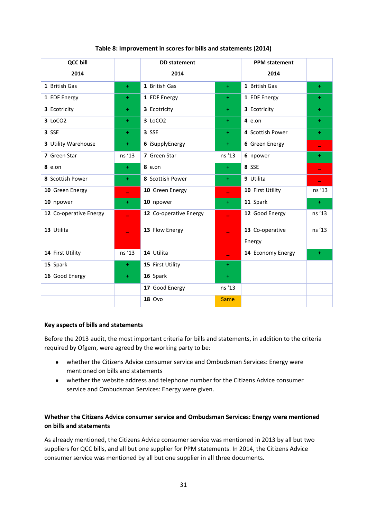| <b>QCC bill</b>        |                          | <b>DD</b> statement    |                          | <b>PPM</b> statement |        |
|------------------------|--------------------------|------------------------|--------------------------|----------------------|--------|
| 2014                   |                          | 2014                   |                          | 2014                 |        |
| 1 British Gas          | ÷.                       | 1 British Gas          | ÷.                       | 1 British Gas        | ÷.     |
| 1 EDF Energy           | ÷                        | 1 EDF Energy           | ÷.                       | 1 EDF Energy         | $+$    |
| 3 Ecotricity           | ÷.                       | 3 Ecotricity           | ÷.                       | 3 Ecotricity         | $+$    |
| 3 LoCO2                | ÷                        | 3 LoCO2                | $+$                      | $4$ e.on             | ÷.     |
| 3 SSE                  | ÷.                       | 3 SSE                  | $+$                      | 4 Scottish Power     | $+$    |
| 3 Utility Warehouse    | ÷                        | 6 iSupplyEnergy        | ÷.                       | 6 Green Energy       |        |
| 7 Green Star           | ns '13                   | 7 Green Star           | ns '13                   | 6 npower             | $+$    |
| $8$ e.on               | ÷                        | <b>8</b> e.on          | $+$                      | 8 SSE                |        |
| 8 Scottish Power       | ÷.                       | 8 Scottish Power       | $+$                      | 9 Utilita            |        |
| 10 Green Energy        |                          | 10 Green Energy        |                          | 10 First Utility     | ns '13 |
| 10 npower              | ÷.                       | 10 npower              | ÷                        | 11 Spark             | $+$    |
| 12 Co-operative Energy | $\overline{\phantom{0}}$ | 12 Co-operative Energy | ÷,                       | 12 Good Energy       | ns '13 |
| 13 Utilita             |                          | 13 Flow Energy         |                          | 13 Co-operative      | ns '13 |
|                        |                          |                        |                          | Energy               |        |
| 14 First Utility       | ns '13                   | 14 Utilita             | $\overline{\phantom{0}}$ | 14 Economy Energy    | ÷      |
| 15 Spark               | ÷.                       | 15 First Utility       | $+$                      |                      |        |
| 16 Good Energy         | $+$                      | 16 Spark               | $+$                      |                      |        |
|                        |                          | 17 Good Energy         | ns '13                   |                      |        |
|                        |                          | <b>18 Ovo</b>          | <b>Same</b>              |                      |        |

# **Table 8: Improvement in scores for bills and statements (2014)**

#### **Key aspects of bills and statements**

Before the 2013 audit, the most important criteria for bills and statements, in addition to the criteria required by Ofgem, were agreed by the working party to be:

- whether the Citizens Advice consumer service and Ombudsman Services: Energy were mentioned on bills and statements
- whether the website address and telephone number for the Citizens Advice consumer service and Ombudsman Services: Energy were given.

# **Whether the Citizens Advice consumer service and Ombudsman Services: Energy were mentioned on bills and statements**

As already mentioned, the Citizens Advice consumer service was mentioned in 2013 by all but two suppliers for QCC bills, and all but one supplier for PPM statements. In 2014, the Citizens Advice consumer service was mentioned by all but one supplier in all three documents.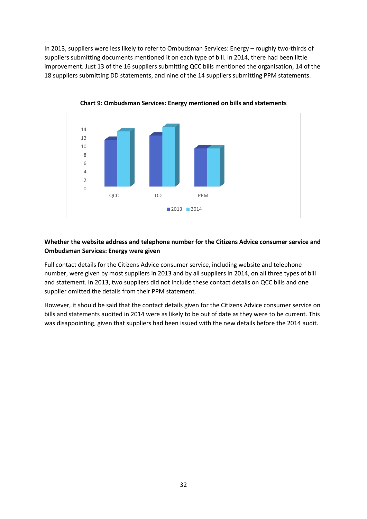In 2013, suppliers were less likely to refer to Ombudsman Services: Energy – roughly two-thirds of suppliers submitting documents mentioned it on each type of bill. In 2014, there had been little improvement. Just 13 of the 16 suppliers submitting QCC bills mentioned the organisation, 14 of the 18 suppliers submitting DD statements, and nine of the 14 suppliers submitting PPM statements.



**Chart 9: Ombudsman Services: Energy mentioned on bills and statements** 

# **Whether the website address and telephone number for the Citizens Advice consumer service and Ombudsman Services: Energy were given**

Full contact details for the Citizens Advice consumer service, including website and telephone number, were given by most suppliers in 2013 and by all suppliers in 2014, on all three types of bill and statement. In 2013, two suppliers did not include these contact details on QCC bills and one supplier omitted the details from their PPM statement.

However, it should be said that the contact details given for the Citizens Advice consumer service on bills and statements audited in 2014 were as likely to be out of date as they were to be current. This was disappointing, given that suppliers had been issued with the new details before the 2014 audit.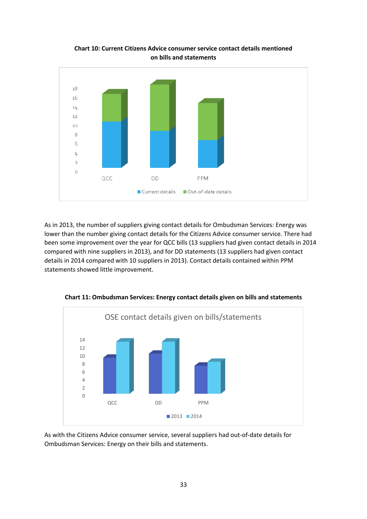

**Chart 10: Current Citizens Advice consumer service contact details mentioned on bills and statements** 

As in 2013, the number of suppliers giving contact details for Ombudsman Services: Energy was lower than the number giving contact details for the Citizens Advice consumer service. There had been some improvement over the year for QCC bills (13 suppliers had given contact details in 2014 compared with nine suppliers in 2013), and for DD statements (13 suppliers had given contact details in 2014 compared with 10 suppliers in 2013). Contact details contained within PPM statements showed little improvement.



**Chart 11: Ombudsman Services: Energy contact details given on bills and statements**

As with the Citizens Advice consumer service, several suppliers had out-of-date details for Ombudsman Services: Energy on their bills and statements.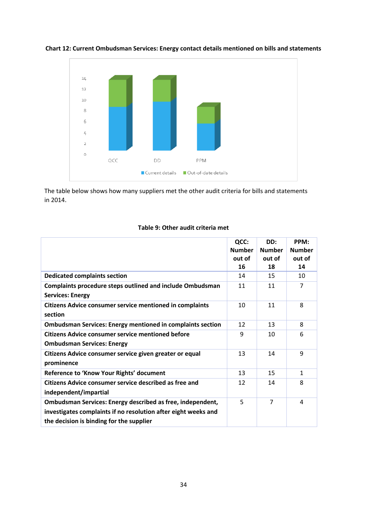

**Chart 12: Current Ombudsman Services: Energy contact details mentioned on bills and statements** 

The table below shows how many suppliers met the other audit criteria for bills and statements in 2014.

|                                                                                                                                                                          | QCC:<br><b>Number</b><br>out of<br>16 | DD:<br><b>Number</b><br>out of<br>18 | PPM:<br><b>Number</b><br>out of<br>14 |
|--------------------------------------------------------------------------------------------------------------------------------------------------------------------------|---------------------------------------|--------------------------------------|---------------------------------------|
| <b>Dedicated complaints section</b>                                                                                                                                      | 14                                    | 15                                   | 10                                    |
| Complaints procedure steps outlined and include Ombudsman<br><b>Services: Energy</b>                                                                                     | 11                                    | 11                                   | $\overline{7}$                        |
| <b>Citizens Advice consumer service mentioned in complaints</b><br>section                                                                                               | 10                                    | 11                                   | 8                                     |
| <b>Ombudsman Services: Energy mentioned in complaints section</b>                                                                                                        | 12                                    | 13                                   | 8                                     |
| <b>Citizens Advice consumer service mentioned before</b><br><b>Ombudsman Services: Energy</b>                                                                            | 9                                     | 10                                   | 6                                     |
| Citizens Advice consumer service given greater or equal<br>prominence                                                                                                    | 13                                    | 14                                   | 9                                     |
| Reference to 'Know Your Rights' document                                                                                                                                 | 13                                    | 15                                   | $\mathbf{1}$                          |
| <b>Citizens Advice consumer service described as free and</b><br>independent/impartial                                                                                   | 12                                    | 14                                   | 8                                     |
| Ombudsman Services: Energy described as free, independent,<br>investigates complaints if no resolution after eight weeks and<br>the decision is binding for the supplier | 5                                     | $\overline{7}$                       | 4                                     |

# **Table 9: Other audit criteria met**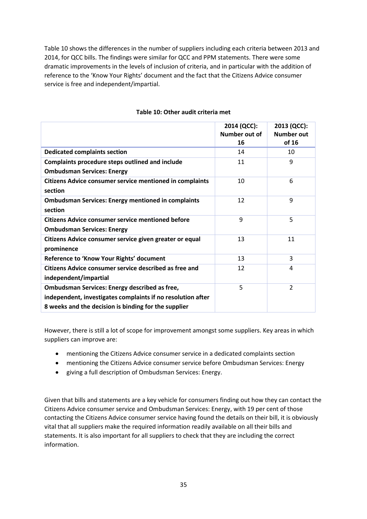Table 10 shows the differences in the number of suppliers including each criteria between 2013 and 2014, for QCC bills. The findings were similar for QCC and PPM statements. There were some dramatic improvements in the levels of inclusion of criteria, and in particular with the addition of reference to the 'Know Your Rights' document and the fact that the Citizens Advice consumer service is free and independent/impartial.

|                                                                                                                                                                             | 2014 (QCC):<br>Number out of<br>16 | 2013 (QCC):<br>Number out<br>of 16 |
|-----------------------------------------------------------------------------------------------------------------------------------------------------------------------------|------------------------------------|------------------------------------|
| <b>Dedicated complaints section</b>                                                                                                                                         | 14                                 | 10                                 |
| <b>Complaints procedure steps outlined and include</b><br><b>Ombudsman Services: Energy</b>                                                                                 | 11                                 | 9                                  |
| <b>Citizens Advice consumer service mentioned in complaints</b><br>section                                                                                                  | 10                                 | 6                                  |
| <b>Ombudsman Services: Energy mentioned in complaints</b><br>section                                                                                                        | 12                                 | 9                                  |
| <b>Citizens Advice consumer service mentioned before</b><br><b>Ombudsman Services: Energy</b>                                                                               | 9                                  | 5                                  |
| Citizens Advice consumer service given greater or equal<br>prominence                                                                                                       | 13                                 | 11                                 |
| Reference to 'Know Your Rights' document                                                                                                                                    | 13                                 | 3                                  |
| Citizens Advice consumer service described as free and<br>independent/impartial                                                                                             | 12                                 | 4                                  |
| <b>Ombudsman Services: Energy described as free,</b><br>independent, investigates complaints if no resolution after<br>8 weeks and the decision is binding for the supplier | 5                                  | $\overline{2}$                     |

## **Table 10: Other audit criteria met**

However, there is still a lot of scope for improvement amongst some suppliers. Key areas in which suppliers can improve are:

- mentioning the Citizens Advice consumer service in a dedicated complaints section
- mentioning the Citizens Advice consumer service before Ombudsman Services: Energy
- giving a full description of Ombudsman Services: Energy.

Given that bills and statements are a key vehicle for consumers finding out how they can contact the Citizens Advice consumer service and Ombudsman Services: Energy, with 19 per cent of those contacting the Citizens Advice consumer service having found the details on their bill, it is obviously vital that all suppliers make the required information readily available on all their bills and statements. It is also important for all suppliers to check that they are including the correct information.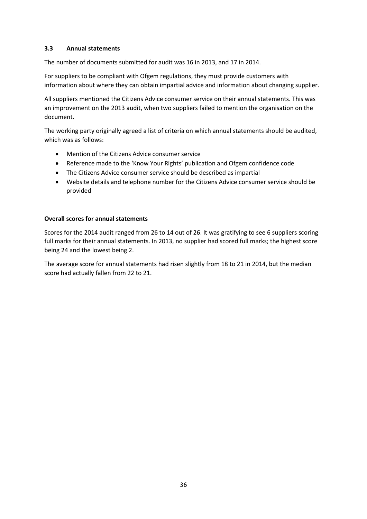# **3.3 Annual statements**

The number of documents submitted for audit was 16 in 2013, and 17 in 2014.

For suppliers to be compliant with Ofgem regulations, they must provide customers with information about where they can obtain impartial advice and information about changing supplier.

All suppliers mentioned the Citizens Advice consumer service on their annual statements. This was an improvement on the 2013 audit, when two suppliers failed to mention the organisation on the document.

The working party originally agreed a list of criteria on which annual statements should be audited, which was as follows:

- Mention of the Citizens Advice consumer service
- Reference made to the 'Know Your Rights' publication and Ofgem confidence code
- The Citizens Advice consumer service should be described as impartial
- Website details and telephone number for the Citizens Advice consumer service should be provided

# **Overall scores for annual statements**

Scores for the 2014 audit ranged from 26 to 14 out of 26. It was gratifying to see 6 suppliers scoring full marks for their annual statements. In 2013, no supplier had scored full marks; the highest score being 24 and the lowest being 2.

The average score for annual statements had risen slightly from 18 to 21 in 2014, but the median score had actually fallen from 22 to 21.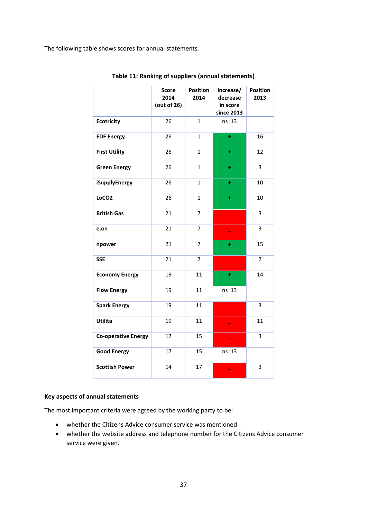The following table shows scores for annual statements.

|                            | <b>Score</b><br>2014<br>(out of 26) | <b>Position</b><br>2014 | Increase/<br>decrease<br>in score<br>since 2013 | <b>Position</b><br>2013 |
|----------------------------|-------------------------------------|-------------------------|-------------------------------------------------|-------------------------|
| <b>Ecotricity</b>          | 26                                  | $\mathbf{1}$            | ns '13                                          |                         |
| <b>EDF Energy</b>          | 26                                  | $\mathbf{1}$            | ÷                                               | 16                      |
| <b>First Utility</b>       | 26                                  | $\mathbf{1}$            | $\ddot{}$                                       | 12                      |
| <b>Green Energy</b>        | 26                                  | $\mathbf{1}$            | ÷                                               | 3                       |
| iSupplyEnergy              | 26                                  | 1                       | ÷                                               | 10                      |
| LoCO <sub>2</sub>          | 26                                  | $\mathbf{1}$            | $\ddot{}$                                       | 10                      |
| <b>British Gas</b>         | 21                                  | 7                       | ÷                                               | 3                       |
| e.on                       | 21                                  | 7                       |                                                 | 3                       |
| npower                     | 21                                  | $\overline{7}$          | ÷                                               | 15                      |
| <b>SSE</b>                 | 21                                  | 7                       |                                                 | 7                       |
| <b>Economy Energy</b>      | 19                                  | 11                      | ÷                                               | 14                      |
| <b>Flow Energy</b>         | 19                                  | 11                      | ns '13                                          |                         |
| <b>Spark Energy</b>        | 19                                  | 11                      |                                                 | 3                       |
| Utilita                    | 19                                  | 11                      |                                                 | 11                      |
| <b>Co-operative Energy</b> | 17                                  | 15                      |                                                 | 3                       |
| <b>Good Energy</b>         | 17                                  | 15                      | ns '13                                          |                         |
| <b>Scottish Power</b>      | 14                                  | 17                      |                                                 | 3                       |

**Table 11: Ranking of suppliers (annual statements)**

#### **Key aspects of annual statements**

The most important criteria were agreed by the working party to be:

- whether the Citizens Advice consumer service was mentioned
- whether the website address and telephone number for the Citizens Advice consumer service were given.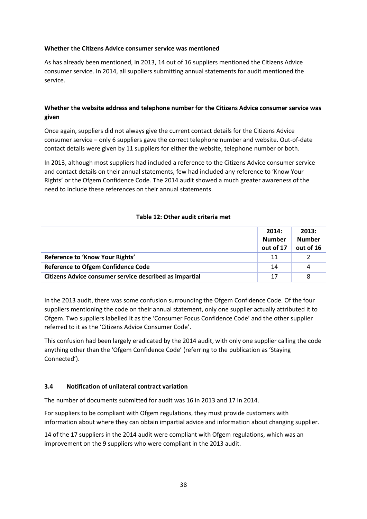# **Whether the Citizens Advice consumer service was mentioned**

As has already been mentioned, in 2013, 14 out of 16 suppliers mentioned the Citizens Advice consumer service. In 2014, all suppliers submitting annual statements for audit mentioned the service.

# **Whether the website address and telephone number for the Citizens Advice consumer service was given**

Once again, suppliers did not always give the current contact details for the Citizens Advice consumer service – only 6 suppliers gave the correct telephone number and website. Out-of-date contact details were given by 11 suppliers for either the website, telephone number or both.

In 2013, although most suppliers had included a reference to the Citizens Advice consumer service and contact details on their annual statements, few had included any reference to 'Know Your Rights' or the Ofgem Confidence Code. The 2014 audit showed a much greater awareness of the need to include these references on their annual statements.

# **Table 12: Other audit criteria met**

|                                                         | 2014:<br><b>Number</b><br>out of 17 | 2013:<br><b>Number</b><br>out of 16 |
|---------------------------------------------------------|-------------------------------------|-------------------------------------|
| Reference to 'Know Your Rights'                         | 11                                  |                                     |
| <b>Reference to Ofgem Confidence Code</b>               | 14                                  | 4                                   |
| Citizens Advice consumer service described as impartial | 17                                  | 8                                   |

In the 2013 audit, there was some confusion surrounding the Ofgem Confidence Code. Of the four suppliers mentioning the code on their annual statement, only one supplier actually attributed it to Ofgem. Two suppliers labelled it as the 'Consumer Focus Confidence Code' and the other supplier referred to it as the 'Citizens Advice Consumer Code'.

This confusion had been largely eradicated by the 2014 audit, with only one supplier calling the code anything other than the 'Ofgem Confidence Code' (referring to the publication as 'Staying Connected').

# **3.4 Notification of unilateral contract variation**

The number of documents submitted for audit was 16 in 2013 and 17 in 2014.

For suppliers to be compliant with Ofgem regulations, they must provide customers with information about where they can obtain impartial advice and information about changing supplier.

14 of the 17 suppliers in the 2014 audit were compliant with Ofgem regulations, which was an improvement on the 9 suppliers who were compliant in the 2013 audit.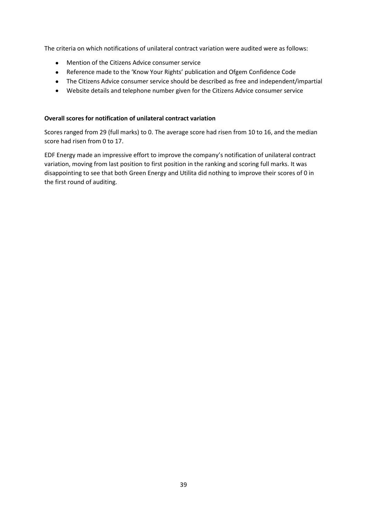The criteria on which notifications of unilateral contract variation were audited were as follows:

- Mention of the Citizens Advice consumer service
- Reference made to the 'Know Your Rights' publication and Ofgem Confidence Code
- The Citizens Advice consumer service should be described as free and independent/impartial
- Website details and telephone number given for the Citizens Advice consumer service

# **Overall scores for notification of unilateral contract variation**

Scores ranged from 29 (full marks) to 0. The average score had risen from 10 to 16, and the median score had risen from 0 to 17.

EDF Energy made an impressive effort to improve the company's notification of unilateral contract variation, moving from last position to first position in the ranking and scoring full marks. It was disappointing to see that both Green Energy and Utilita did nothing to improve their scores of 0 in the first round of auditing.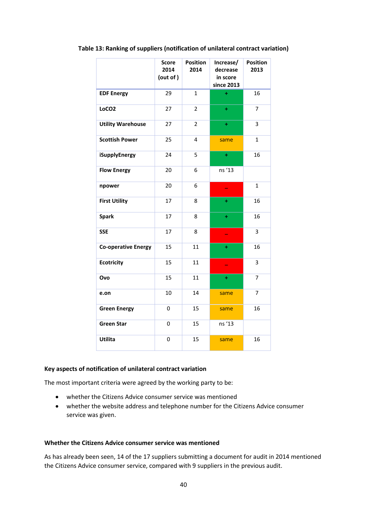|                            | Score<br>2014<br>(out of) | <b>Position</b><br>2014 | Increase/<br>decrease<br>in score<br>since 2013 | <b>Position</b><br>2013 |
|----------------------------|---------------------------|-------------------------|-------------------------------------------------|-------------------------|
| <b>EDF Energy</b>          | 29                        | $\mathbf{1}$            | Ŧ                                               | 16                      |
| LoCO <sub>2</sub>          | 27                        | $\overline{2}$          | Ŧ                                               | $\overline{7}$          |
| <b>Utility Warehouse</b>   | 27                        | $\overline{2}$          | $\ddot{}$                                       | 3                       |
| <b>Scottish Power</b>      | 25                        | 4                       | same                                            | $\mathbf{1}$            |
| iSupplyEnergy              | 24                        | 5                       | ÷                                               | 16                      |
| <b>Flow Energy</b>         | 20                        | 6                       | ns '13                                          |                         |
| npower                     | 20                        | 6                       | $\overline{\phantom{0}}$                        | $\mathbf{1}$            |
| <b>First Utility</b>       | 17                        | 8                       | ÷                                               | 16                      |
| <b>Spark</b>               | 17                        | 8                       | ÷                                               | 16                      |
| <b>SSE</b>                 | 17                        | 8                       | ۰                                               | 3                       |
| <b>Co-operative Energy</b> | 15                        | 11                      | ÷                                               | 16                      |
| <b>Ecotricity</b>          | 15                        | 11                      |                                                 | 3                       |
| Ovo                        | 15                        | 11                      | $+$                                             | 7                       |
| e.on                       | 10                        | 14                      | same                                            | 7                       |
| <b>Green Energy</b>        | 0                         | 15                      | same                                            | 16                      |
| <b>Green Star</b>          | 0                         | 15                      | ns '13                                          |                         |
| Utilita                    | 0                         | 15                      | same                                            | 16                      |

#### **Table 13: Ranking of suppliers (notification of unilateral contract variation)**

#### **Key aspects of notification of unilateral contract variation**

The most important criteria were agreed by the working party to be:

- whether the Citizens Advice consumer service was mentioned
- whether the website address and telephone number for the Citizens Advice consumer service was given.

#### **Whether the Citizens Advice consumer service was mentioned**

As has already been seen, 14 of the 17 suppliers submitting a document for audit in 2014 mentioned the Citizens Advice consumer service, compared with 9 suppliers in the previous audit.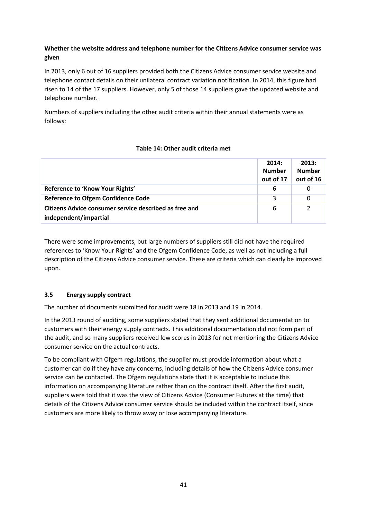# **Whether the website address and telephone number for the Citizens Advice consumer service was given**

In 2013, only 6 out of 16 suppliers provided both the Citizens Advice consumer service website and telephone contact details on their unilateral contract variation notification. In 2014, this figure had risen to 14 of the 17 suppliers. However, only 5 of those 14 suppliers gave the updated website and telephone number.

Numbers of suppliers including the other audit criteria within their annual statements were as follows:

# **Table 14: Other audit criteria met**

|                                                        | 2014:<br><b>Number</b><br>out of 17 | 2013:<br><b>Number</b><br>out of 16 |
|--------------------------------------------------------|-------------------------------------|-------------------------------------|
| Reference to 'Know Your Rights'                        | 6                                   |                                     |
| <b>Reference to Ofgem Confidence Code</b>              | 3                                   | 0                                   |
| Citizens Advice consumer service described as free and | 6                                   | 2                                   |
| independent/impartial                                  |                                     |                                     |

There were some improvements, but large numbers of suppliers still did not have the required references to 'Know Your Rights' and the Ofgem Confidence Code, as well as not including a full description of the Citizens Advice consumer service. These are criteria which can clearly be improved upon.

# **3.5 Energy supply contract**

The number of documents submitted for audit were 18 in 2013 and 19 in 2014.

In the 2013 round of auditing, some suppliers stated that they sent additional documentation to customers with their energy supply contracts. This additional documentation did not form part of the audit, and so many suppliers received low scores in 2013 for not mentioning the Citizens Advice consumer service on the actual contracts.

To be compliant with Ofgem regulations, the supplier must provide information about what a customer can do if they have any concerns, including details of how the Citizens Advice consumer service can be contacted. The Ofgem regulations state that it is acceptable to include this information on accompanying literature rather than on the contract itself. After the first audit, suppliers were told that it was the view of Citizens Advice (Consumer Futures at the time) that details of the Citizens Advice consumer service should be included within the contract itself, since customers are more likely to throw away or lose accompanying literature.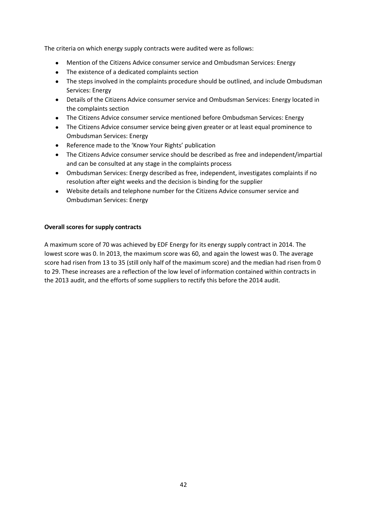The criteria on which energy supply contracts were audited were as follows:

- Mention of the Citizens Advice consumer service and Ombudsman Services: Energy
- The existence of a dedicated complaints section
- The steps involved in the complaints procedure should be outlined, and include Ombudsman Services: Energy
- Details of the Citizens Advice consumer service and Ombudsman Services: Energy located in the complaints section
- The Citizens Advice consumer service mentioned before Ombudsman Services: Energy
- The Citizens Advice consumer service being given greater or at least equal prominence to Ombudsman Services: Energy
- Reference made to the 'Know Your Rights' publication
- The Citizens Advice consumer service should be described as free and independent/impartial and can be consulted at any stage in the complaints process
- Ombudsman Services: Energy described as free, independent, investigates complaints if no  $\bullet$ resolution after eight weeks and the decision is binding for the supplier
- $\bullet$ Website details and telephone number for the Citizens Advice consumer service and Ombudsman Services: Energy

#### **Overall scores for supply contracts**

A maximum score of 70 was achieved by EDF Energy for its energy supply contract in 2014. The lowest score was 0. In 2013, the maximum score was 60, and again the lowest was 0. The average score had risen from 13 to 35 (still only half of the maximum score) and the median had risen from 0 to 29. These increases are a reflection of the low level of information contained within contracts in the 2013 audit, and the efforts of some suppliers to rectify this before the 2014 audit.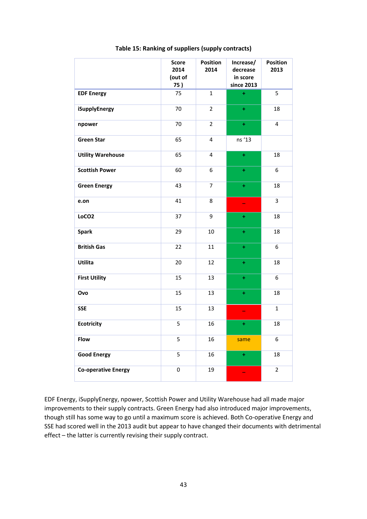|                            | <b>Score</b><br>2014<br>(out of<br>75) | Position<br>2014 | Increase/<br>decrease<br>in score<br>since 2013 | <b>Position</b><br>2013 |
|----------------------------|----------------------------------------|------------------|-------------------------------------------------|-------------------------|
| <b>EDF Energy</b>          | 75                                     | $\mathbf{1}$     | $\ddot{}$                                       | 5                       |
| iSupplyEnergy              | 70                                     | $\overline{2}$   | $\pm$                                           | 18                      |
| npower                     | 70                                     | $\overline{2}$   | $\pm$                                           | 4                       |
| <b>Green Star</b>          | 65                                     | 4                | ns '13                                          |                         |
| <b>Utility Warehouse</b>   | 65                                     | 4                | $\ddot{}$                                       | 18                      |
| <b>Scottish Power</b>      | 60                                     | 6                | $\ddot{}$                                       | 6                       |
| <b>Green Energy</b>        | 43                                     | 7                | $\ddot{}$                                       | 18                      |
| e.on                       | 41                                     | 8                | ÷                                               | 3                       |
| LoCO <sub>2</sub>          | 37                                     | 9                | $\pm$                                           | 18                      |
| <b>Spark</b>               | 29                                     | 10               | $\pm$                                           | 18                      |
| <b>British Gas</b>         | 22                                     | 11               | $\pm$                                           | 6                       |
| <b>Utilita</b>             | 20                                     | 12               | $\ddot{}$                                       | 18                      |
| <b>First Utility</b>       | 15                                     | 13               | $\ddot{}$                                       | 6                       |
| Ovo                        | 15                                     | 13               | ÷                                               | 18                      |
| <b>SSE</b>                 | 15                                     | 13               |                                                 | $\mathbf{1}$            |
| <b>Ecotricity</b>          | 5                                      | 16               | ÷                                               | 18                      |
| Flow                       | 5                                      | 16               | same                                            | 6                       |
| <b>Good Energy</b>         | 5                                      | 16               | $\pm$                                           | 18                      |
| <b>Co-operative Energy</b> | $\mathbf 0$                            | 19               |                                                 | $\overline{2}$          |

#### **Table 15: Ranking of suppliers (supply contracts)**

EDF Energy, iSupplyEnergy, npower, Scottish Power and Utility Warehouse had all made major improvements to their supply contracts. Green Energy had also introduced major improvements, though still has some way to go until a maximum score is achieved. Both Co-operative Energy and SSE had scored well in the 2013 audit but appear to have changed their documents with detrimental effect – the latter is currently revising their supply contract.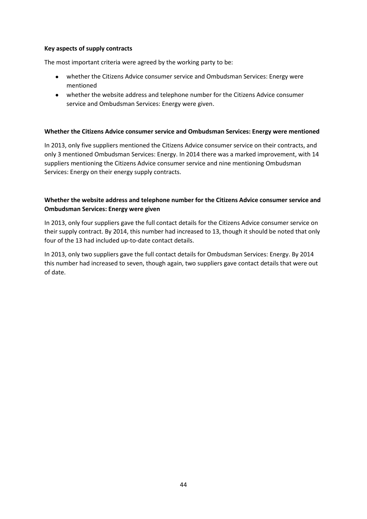## **Key aspects of supply contracts**

The most important criteria were agreed by the working party to be:

- whether the Citizens Advice consumer service and Ombudsman Services: Energy were mentioned
- whether the website address and telephone number for the Citizens Advice consumer service and Ombudsman Services: Energy were given.

# **Whether the Citizens Advice consumer service and Ombudsman Services: Energy were mentioned**

In 2013, only five suppliers mentioned the Citizens Advice consumer service on their contracts, and only 3 mentioned Ombudsman Services: Energy. In 2014 there was a marked improvement, with 14 suppliers mentioning the Citizens Advice consumer service and nine mentioning Ombudsman Services: Energy on their energy supply contracts.

# **Whether the website address and telephone number for the Citizens Advice consumer service and Ombudsman Services: Energy were given**

In 2013, only four suppliers gave the full contact details for the Citizens Advice consumer service on their supply contract. By 2014, this number had increased to 13, though it should be noted that only four of the 13 had included up-to-date contact details.

In 2013, only two suppliers gave the full contact details for Ombudsman Services: Energy. By 2014 this number had increased to seven, though again, two suppliers gave contact details that were out of date.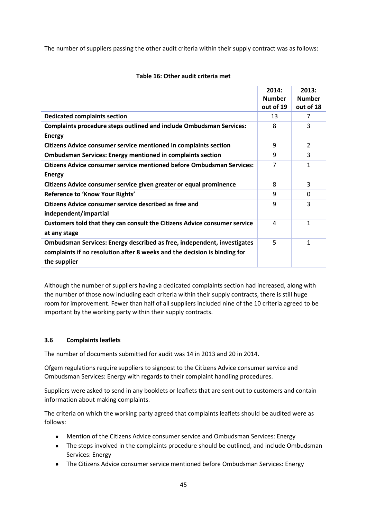The number of suppliers passing the other audit criteria within their supply contract was as follows:

|                                                                                                                                                                      | 2014:<br><b>Number</b> | 2013:<br><b>Number</b> |
|----------------------------------------------------------------------------------------------------------------------------------------------------------------------|------------------------|------------------------|
|                                                                                                                                                                      | out of 19              | out of 18              |
| <b>Dedicated complaints section</b>                                                                                                                                  | 13                     | 7                      |
| <b>Complaints procedure steps outlined and include Ombudsman Services:</b>                                                                                           | 8                      | 3                      |
| <b>Energy</b>                                                                                                                                                        |                        |                        |
| Citizens Advice consumer service mentioned in complaints section                                                                                                     | 9                      | 2                      |
| <b>Ombudsman Services: Energy mentioned in complaints section</b>                                                                                                    | 9                      | 3                      |
| <b>Citizens Advice consumer service mentioned before Ombudsman Services:</b>                                                                                         | 7                      | 1                      |
| <b>Energy</b>                                                                                                                                                        |                        |                        |
| Citizens Advice consumer service given greater or equal prominence                                                                                                   | 8                      | 3                      |
| Reference to 'Know Your Rights'                                                                                                                                      | 9                      | 0                      |
| Citizens Advice consumer service described as free and                                                                                                               | 9                      | 3                      |
| independent/impartial                                                                                                                                                |                        |                        |
| Customers told that they can consult the Citizens Advice consumer service                                                                                            | 4                      | 1                      |
| at any stage                                                                                                                                                         |                        |                        |
| Ombudsman Services: Energy described as free, independent, investigates<br>complaints if no resolution after 8 weeks and the decision is binding for<br>the supplier | 5                      | 1                      |

# **Table 16: Other audit criteria met**

Although the number of suppliers having a dedicated complaints section had increased, along with the number of those now including each criteria within their supply contracts, there is still huge room for improvement. Fewer than half of all suppliers included nine of the 10 criteria agreed to be important by the working party within their supply contracts.

# **3.6 Complaints leaflets**

The number of documents submitted for audit was 14 in 2013 and 20 in 2014.

Ofgem regulations require suppliers to signpost to the Citizens Advice consumer service and Ombudsman Services: Energy with regards to their complaint handling procedures.

Suppliers were asked to send in any booklets or leaflets that are sent out to customers and contain information about making complaints.

The criteria on which the working party agreed that complaints leaflets should be audited were as follows:

- Mention of the Citizens Advice consumer service and Ombudsman Services: Energy
- The steps involved in the complaints procedure should be outlined, and include Ombudsman Services: Energy
- The Citizens Advice consumer service mentioned before Ombudsman Services: Energy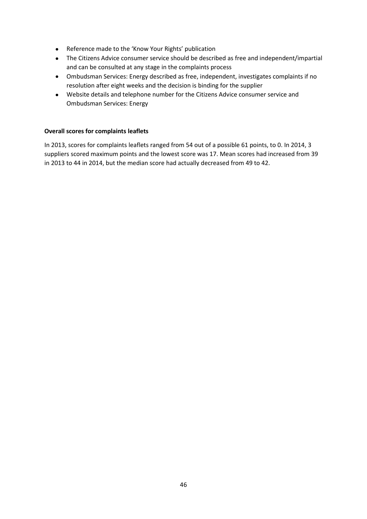- Reference made to the 'Know Your Rights' publication
- The Citizens Advice consumer service should be described as free and independent/impartial and can be consulted at any stage in the complaints process
- Ombudsman Services: Energy described as free, independent, investigates complaints if no resolution after eight weeks and the decision is binding for the supplier
- Website details and telephone number for the Citizens Advice consumer service and Ombudsman Services: Energy

# **Overall scores for complaints leaflets**

In 2013, scores for complaints leaflets ranged from 54 out of a possible 61 points, to 0. In 2014, 3 suppliers scored maximum points and the lowest score was 17. Mean scores had increased from 39 in 2013 to 44 in 2014, but the median score had actually decreased from 49 to 42.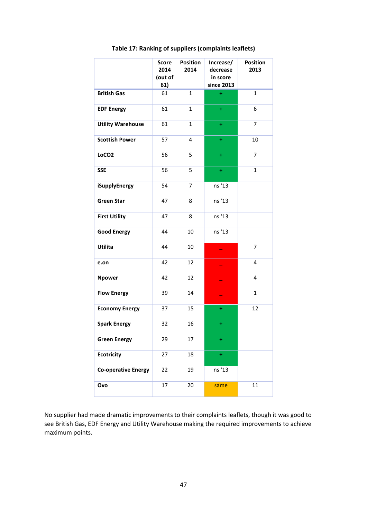|                            | <b>Score</b><br>2014<br>(out of<br>61) | <b>Position</b><br>2014 | Increase/<br>decrease<br>in score<br>since 2013 | <b>Position</b><br>2013 |
|----------------------------|----------------------------------------|-------------------------|-------------------------------------------------|-------------------------|
| <b>British Gas</b>         | 61                                     | $\mathbf{1}$            | ÷                                               | $\mathbf{1}$            |
| <b>EDF Energy</b>          | 61                                     | $\mathbf{1}$            | ÷                                               | 6                       |
| <b>Utility Warehouse</b>   | 61                                     | $\mathbf{1}$            | ÷                                               | $\overline{7}$          |
| <b>Scottish Power</b>      | 57                                     | 4                       | ÷                                               | 10                      |
| LoCO <sub>2</sub>          | 56                                     | 5                       | ÷                                               | 7                       |
| <b>SSE</b>                 | 56                                     | 5                       | ÷                                               | $\mathbf{1}$            |
| iSupplyEnergy              | 54                                     | 7                       | ns '13                                          |                         |
| <b>Green Star</b>          | 47                                     | 8                       | ns '13                                          |                         |
| <b>First Utility</b>       | 47                                     | 8                       | ns '13                                          |                         |
| <b>Good Energy</b>         | 44                                     | 10                      | ns '13                                          |                         |
| Utilita                    | 44                                     | 10                      |                                                 | 7                       |
| e.on                       | 42                                     | 12                      |                                                 | 4                       |
| <b>Npower</b>              | 42                                     | 12                      |                                                 | 4                       |
| <b>Flow Energy</b>         | 39                                     | 14                      |                                                 | $\mathbf{1}$            |
| <b>Economy Energy</b>      | 37                                     | 15                      | ÷                                               | 12                      |
| <b>Spark Energy</b>        | 32                                     | 16                      | ÷                                               |                         |
| <b>Green Energy</b>        | 29                                     | 17                      | ÷                                               |                         |
| <b>Ecotricity</b>          | 27                                     | 18                      | ÷                                               |                         |
| <b>Co-operative Energy</b> | 22                                     | 19                      | ns '13                                          |                         |
| Ovo                        | 17                                     | 20                      | same                                            | 11                      |

**Table 17: Ranking of suppliers (complaints leaflets)**

No supplier had made dramatic improvements to their complaints leaflets, though it was good to see British Gas, EDF Energy and Utility Warehouse making the required improvements to achieve maximum points.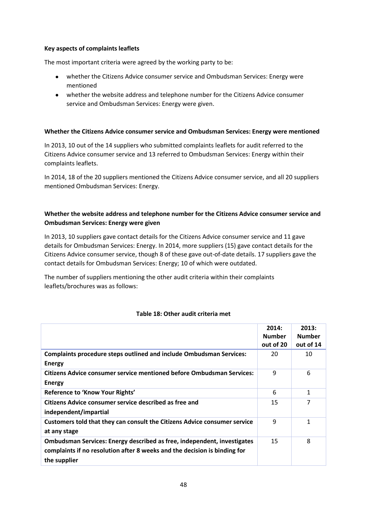# **Key aspects of complaints leaflets**

The most important criteria were agreed by the working party to be:

- whether the Citizens Advice consumer service and Ombudsman Services: Energy were mentioned
- whether the website address and telephone number for the Citizens Advice consumer service and Ombudsman Services: Energy were given.

#### **Whether the Citizens Advice consumer service and Ombudsman Services: Energy were mentioned**

In 2013, 10 out of the 14 suppliers who submitted complaints leaflets for audit referred to the Citizens Advice consumer service and 13 referred to Ombudsman Services: Energy within their complaints leaflets.

In 2014, 18 of the 20 suppliers mentioned the Citizens Advice consumer service, and all 20 suppliers mentioned Ombudsman Services: Energy.

# **Whether the website address and telephone number for the Citizens Advice consumer service and Ombudsman Services: Energy were given**

In 2013, 10 suppliers gave contact details for the Citizens Advice consumer service and 11 gave details for Ombudsman Services: Energy. In 2014, more suppliers (15) gave contact details for the Citizens Advice consumer service, though 8 of these gave out-of-date details. 17 suppliers gave the contact details for Ombudsman Services: Energy; 10 of which were outdated.

The number of suppliers mentioning the other audit criteria within their complaints leaflets/brochures was as follows:

## **Table 18: Other audit criteria met**

|                                                                                                                                                                      | 2014:<br><b>Number</b><br>out of 20 | 2013:<br><b>Number</b><br>out of 14 |
|----------------------------------------------------------------------------------------------------------------------------------------------------------------------|-------------------------------------|-------------------------------------|
| <b>Complaints procedure steps outlined and include Ombudsman Services:</b><br><b>Energy</b>                                                                          | 20                                  | 10                                  |
| Citizens Advice consumer service mentioned before Ombudsman Services:<br><b>Energy</b>                                                                               | 9                                   | 6                                   |
| Reference to 'Know Your Rights'                                                                                                                                      | 6                                   | 1                                   |
| Citizens Advice consumer service described as free and<br>independent/impartial                                                                                      | 15                                  |                                     |
| Customers told that they can consult the Citizens Advice consumer service<br>at any stage                                                                            | 9                                   | 1                                   |
| Ombudsman Services: Energy described as free, independent, investigates<br>complaints if no resolution after 8 weeks and the decision is binding for<br>the supplier | 15                                  | 8                                   |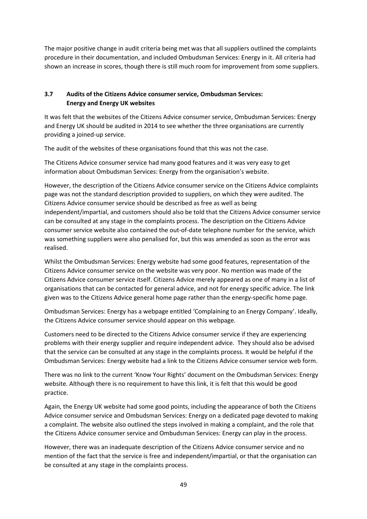The major positive change in audit criteria being met was that all suppliers outlined the complaints procedure in their documentation, and included Ombudsman Services: Energy in it. All criteria had shown an increase in scores, though there is still much room for improvement from some suppliers.

# **3.7 Audits of the Citizens Advice consumer service, Ombudsman Services: Energy and Energy UK websites**

It was felt that the websites of the Citizens Advice consumer service, Ombudsman Services: Energy and Energy UK should be audited in 2014 to see whether the three organisations are currently providing a joined-up service.

The audit of the websites of these organisations found that this was not the case.

The Citizens Advice consumer service had many good features and it was very easy to get information about Ombudsman Services: Energy from the organisation's website.

However, the description of the Citizens Advice consumer service on the Citizens Advice complaints page was not the standard description provided to suppliers, on which they were audited. The Citizens Advice consumer service should be described as free as well as being independent/impartial, and customers should also be told that the Citizens Advice consumer service can be consulted at any stage in the complaints process. The description on the Citizens Advice consumer service website also contained the out-of-date telephone number for the service, which was something suppliers were also penalised for, but this was amended as soon as the error was realised.

Whilst the Ombudsman Services: Energy website had some good features, representation of the Citizens Advice consumer service on the website was very poor. No mention was made of the Citizens Advice consumer service itself. Citizens Advice merely appeared as one of many in a list of organisations that can be contacted for general advice, and not for energy specific advice. The link given was to the Citizens Advice general home page rather than the energy-specific home page.

Ombudsman Services: Energy has a webpage entitled 'Complaining to an Energy Company'. Ideally, the Citizens Advice consumer service should appear on this webpage.

Customers need to be directed to the Citizens Advice consumer service if they are experiencing problems with their energy supplier and require independent advice. They should also be advised that the service can be consulted at any stage in the complaints process. It would be helpful if the Ombudsman Services: Energy website had a link to the Citizens Advice consumer service web form.

There was no link to the current 'Know Your Rights' document on the Ombudsman Services: Energy website. Although there is no requirement to have this link, it is felt that this would be good practice.

Again, the Energy UK website had some good points, including the appearance of both the Citizens Advice consumer service and Ombudsman Services: Energy on a dedicated page devoted to making a complaint. The website also outlined the steps involved in making a complaint, and the role that the Citizens Advice consumer service and Ombudsman Services: Energy can play in the process.

However, there was an inadequate description of the Citizens Advice consumer service and no mention of the fact that the service is free and independent/impartial, or that the organisation can be consulted at any stage in the complaints process.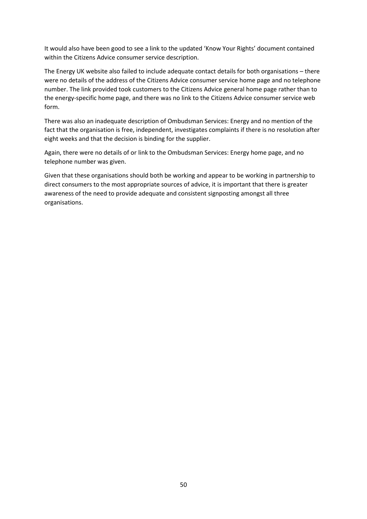It would also have been good to see a link to the updated 'Know Your Rights' document contained within the Citizens Advice consumer service description.

The Energy UK website also failed to include adequate contact details for both organisations – there were no details of the address of the Citizens Advice consumer service home page and no telephone number. The link provided took customers to the Citizens Advice general home page rather than to the energy-specific home page, and there was no link to the Citizens Advice consumer service web form.

There was also an inadequate description of Ombudsman Services: Energy and no mention of the fact that the organisation is free, independent, investigates complaints if there is no resolution after eight weeks and that the decision is binding for the supplier.

Again, there were no details of or link to the Ombudsman Services: Energy home page, and no telephone number was given.

Given that these organisations should both be working and appear to be working in partnership to direct consumers to the most appropriate sources of advice, it is important that there is greater awareness of the need to provide adequate and consistent signposting amongst all three organisations.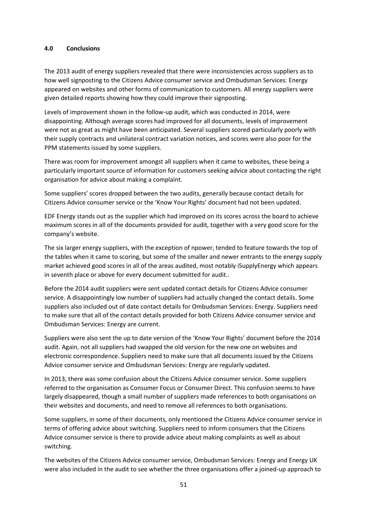#### **4.0 Conclusions**

The 2013 audit of energy suppliers revealed that there were inconsistencies across suppliers as to how well signposting to the Citizens Advice consumer service and Ombudsman Services: Energy appeared on websites and other forms of communication to customers. All energy suppliers were given detailed reports showing how they could improve their signposting.

Levels of improvement shown in the follow-up audit, which was conducted in 2014, were disappointing. Although average scores had improved for all documents, levels of improvement were not as great as might have been anticipated. Several suppliers scored particularly poorly with their supply contracts and unilateral contract variation notices, and scores were also poor for the PPM statements issued by some suppliers.

There was room for improvement amongst all suppliers when it came to websites, these being a particularly important source of information for customers seeking advice about contacting the right organisation for advice about making a complaint.

Some suppliers' scores dropped between the two audits, generally because contact details for Citizens Advice consumer service or the 'Know Your Rights' document had not been updated.

EDF Energy stands out as the supplier which had improved on its scores across the board to achieve maximum scores in all of the documents provided for audit, together with a very good score for the company's website.

The six larger energy suppliers, with the exception of npower, tended to feature towards the top of the tables when it came to scoring, but some of the smaller and newer entrants to the energy supply market achieved good scores in all of the areas audited, most notably iSupplyEnergy which appears in seventh place or above for every document submitted for audit..

Before the 2014 audit suppliers were sent updated contact details for Citizens Advice consumer service. A disappointingly low number of suppliers had actually changed the contact details. Some suppliers also included out of date contact details for Ombudsman Services: Energy. Suppliers need to make sure that all of the contact details provided for both Citizens Advice consumer service and Ombudsman Services: Energy are current.

Suppliers were also sent the up to date version of the 'Know Your Rights' document before the 2014 audit. Again, not all suppliers had swapped the old version for the new one on websites and electronic correspondence. Suppliers need to make sure that all documents issued by the Citizens Advice consumer service and Ombudsman Services: Energy are regularly updated.

In 2013, there was some confusion about the Citizens Advice consumer service. Some suppliers referred to the organisation as Consumer Focus or Consumer Direct. This confusion seems to have largely disappeared, though a small number of suppliers made references to both organisations on their websites and documents, and need to remove all references to both organisations.

Some suppliers, in some of their documents, only mentioned the Citizens Advice consumer service in terms of offering advice about switching. Suppliers need to inform consumers that the Citizens Advice consumer service is there to provide advice about making complaints as well as about switching.

The websites of the Citizens Advice consumer service, Ombudsman Services: Energy and Energy UK were also included in the audit to see whether the three organisations offer a joined-up approach to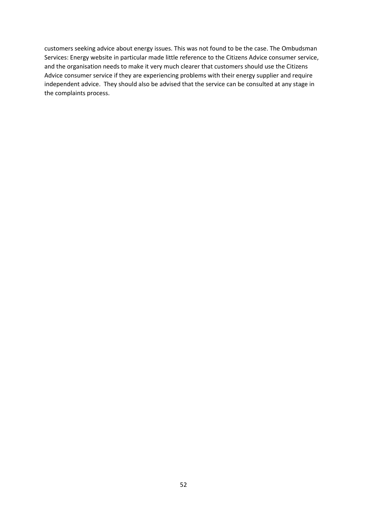customers seeking advice about energy issues. This was not found to be the case. The Ombudsman Services: Energy website in particular made little reference to the Citizens Advice consumer service, and the organisation needs to make it very much clearer that customers should use the Citizens Advice consumer service if they are experiencing problems with their energy supplier and require independent advice. They should also be advised that the service can be consulted at any stage in the complaints process.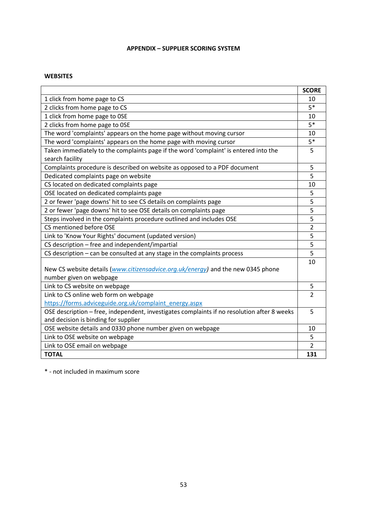# **APPENDIX – SUPPLIER SCORING SYSTEM**

#### **WEBSITES**

|                                                                                             | <b>SCORE</b>   |
|---------------------------------------------------------------------------------------------|----------------|
| 1 click from home page to CS                                                                | 10             |
| 2 clicks from home page to CS                                                               | $5*$           |
| 1 click from home page to OSE                                                               | 10             |
| 2 clicks from home page to OSE                                                              | $5*$           |
| The word 'complaints' appears on the home page without moving cursor                        | 10             |
| The word 'complaints' appears on the home page with moving cursor                           | $5*$           |
| Taken immediately to the complaints page if the word 'complaint' is entered into the        | 5              |
| search facility                                                                             |                |
| Complaints procedure is described on website as opposed to a PDF document                   | 5              |
| Dedicated complaints page on website                                                        | 5              |
| CS located on dedicated complaints page                                                     | 10             |
| OSE located on dedicated complaints page                                                    | 5              |
| 2 or fewer 'page downs' hit to see CS details on complaints page                            | 5              |
| 2 or fewer 'page downs' hit to see OSE details on complaints page                           | $\overline{5}$ |
| Steps involved in the complaints procedure outlined and includes OSE                        | 5              |
| CS mentioned before OSE                                                                     | $\overline{2}$ |
| Link to 'Know Your Rights' document (updated version)                                       | 5              |
| CS description - free and independent/impartial                                             | 5              |
| CS description - can be consulted at any stage in the complaints process                    | 5              |
|                                                                                             | 10             |
| New CS website details (www.citizensadvice.org.uk/energy) and the new 0345 phone            |                |
| number given on webpage                                                                     |                |
| Link to CS website on webpage                                                               | 5              |
| Link to CS online web form on webpage                                                       | $\overline{2}$ |
| https://forms.adviceguide.org.uk/complaint energy.aspx                                      |                |
| OSE description - free, independent, investigates complaints if no resolution after 8 weeks | 5              |
| and decision is binding for supplier                                                        |                |
| OSE website details and 0330 phone number given on webpage                                  | 10             |
| Link to OSE website on webpage                                                              | 5              |
| Link to OSE email on webpage                                                                | $\overline{2}$ |
| <b>TOTAL</b>                                                                                | 131            |

\* - not included in maximum score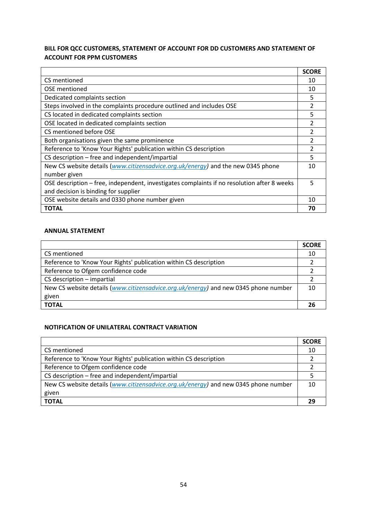# **BILL FOR QCC CUSTOMERS, STATEMENT OF ACCOUNT FOR DD CUSTOMERS AND STATEMENT OF ACCOUNT FOR PPM CUSTOMERS**

|                                                                                             | <b>SCORE</b> |
|---------------------------------------------------------------------------------------------|--------------|
| CS mentioned                                                                                | 10           |
| OSE mentioned                                                                               | 10           |
| Dedicated complaints section                                                                | 5            |
| Steps involved in the complaints procedure outlined and includes OSE                        |              |
| CS located in dedicated complaints section                                                  | 5            |
| OSE located in dedicated complaints section                                                 |              |
| CS mentioned before OSE                                                                     | 2            |
| Both organisations given the same prominence                                                |              |
| Reference to 'Know Your Rights' publication within CS description                           |              |
| CS description - free and independent/impartial                                             | 5            |
| New CS website details (www.citizensadvice.org.uk/energy) and the new 0345 phone            | 10           |
| number given                                                                                |              |
| OSE description – free, independent, investigates complaints if no resolution after 8 weeks |              |
| and decision is binding for supplier                                                        |              |
| OSE website details and 0330 phone number given                                             | 10           |
| <b>TOTAL</b>                                                                                | 70           |

# **ANNUAL STATEMENT**

|                                                                                     | <b>SCORE</b> |
|-------------------------------------------------------------------------------------|--------------|
| CS mentioned                                                                        | 10           |
| Reference to 'Know Your Rights' publication within CS description                   |              |
| Reference to Ofgem confidence code                                                  |              |
| $CS$ description $-$ impartial                                                      |              |
| New CS website details (www.citizensadvice.org.uk/energy) and new 0345 phone number | 10           |
| given                                                                               |              |
| <b>TOTAL</b>                                                                        | 26           |

# **NOTIFICATION OF UNILATERAL CONTRACT VARIATION**

|                                                                                     | <b>SCORE</b> |
|-------------------------------------------------------------------------------------|--------------|
| CS mentioned                                                                        | 10           |
| Reference to 'Know Your Rights' publication within CS description                   |              |
| Reference to Ofgem confidence code                                                  |              |
| CS description – free and independent/impartial                                     |              |
| New CS website details (www.citizensadvice.org.uk/energy) and new 0345 phone number |              |
| given                                                                               |              |
| <b>TOTAL</b>                                                                        |              |